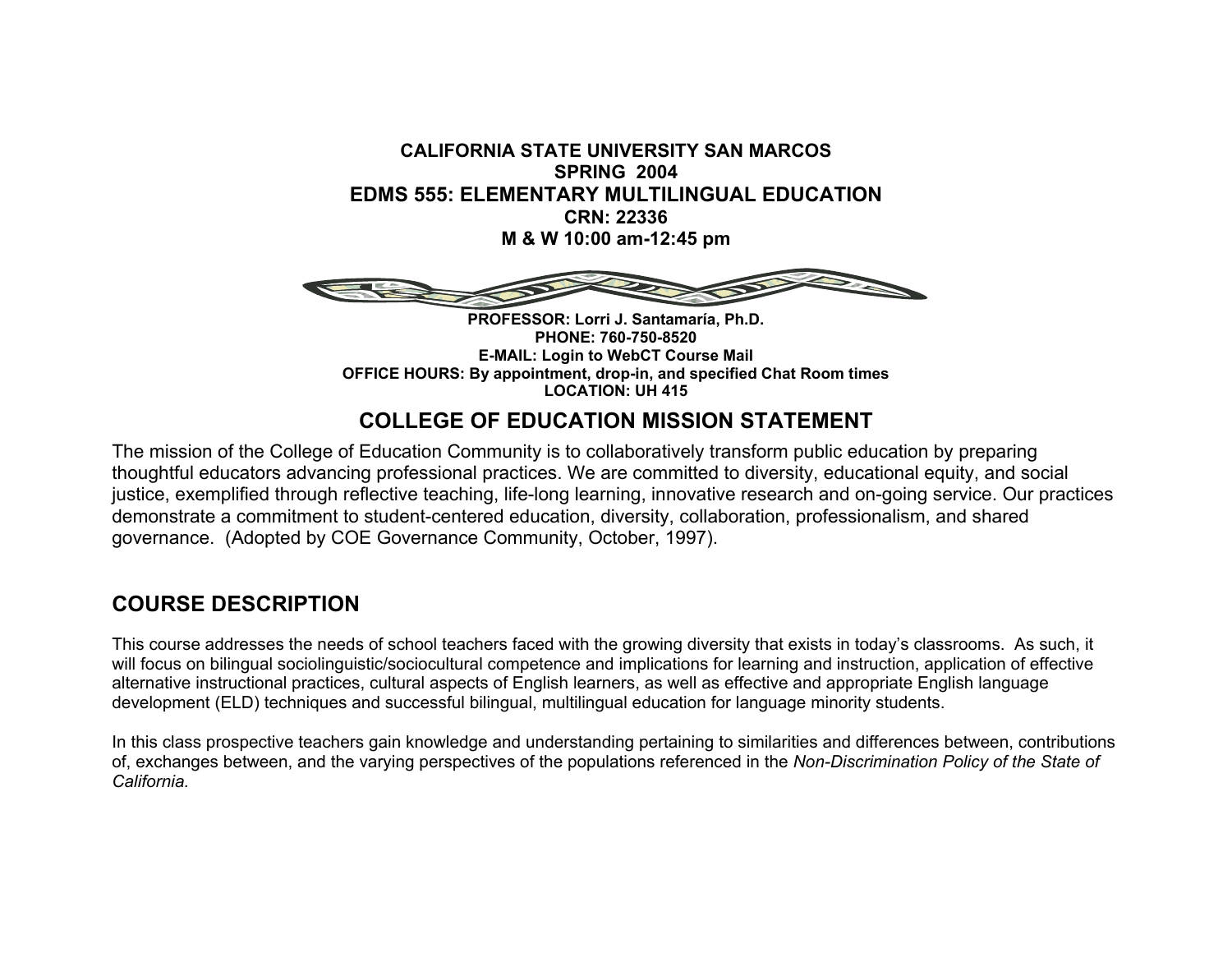**CALIFORNIA STATE UNIVERSITY SAN MARCOSSPRING 2004EDMS 555: ELEMENTARY MULTILINGUAL EDUCATIONCRN: 22336 M & W 10:00 am-12:45 pm** 



**PROFESSOR: Lorri J. Santamaría, Ph.D. PHONE: 760-750-8520E-MAIL: Login to WebCT Course Mail OFFICE HOURS: By appointment, drop-in, and specified Chat Room times LOCATION: UH 415**

# **COLLEGE OF EDUCATION MISSION STATEMENT**

The mission of the College of Education Community is to collaboratively transform public education by preparing thoughtful educators advancing professional practices. We are committed to diversity, educational equity, and social justice, exemplified through reflective teaching, life-long learning, innovative research and on-going service. Our practices demonstrate a commitment to student-centered education, diversity, collaboration, professionalism, and shared governance. (Adopted by COE Governance Community, October, 1997).

### **COURSE DESCRIPTION**

This course addresses the needs of school teachers faced with the growing diversity that exists in today's classrooms. As such, it will focus on bilingual sociolinguistic/sociocultural competence and implications for learning and instruction, application of effective alternative instructional practices, cultural aspects of English learners, as well as effective and appropriate English language development (ELD) techniques and successful bilingual, multilingual education for language minority students.

In this class prospective teachers gain knowledge and understanding pertaining to similarities and differences between, contributions of, exchanges between, and the varying perspectives of the populations referenced in the *Non-Discrimination Policy of the State of California.*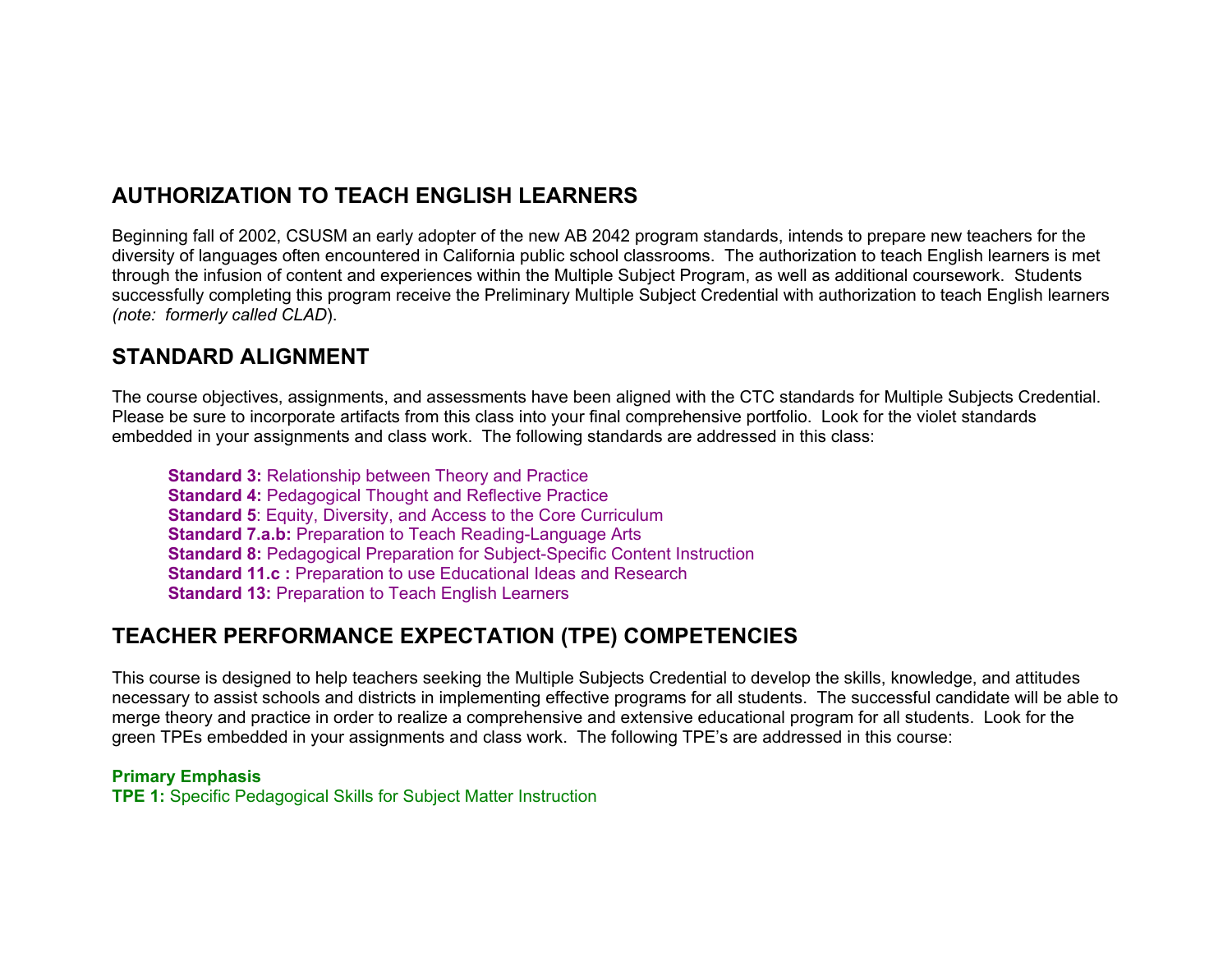# **AUTHORIZATION TO TEACH ENGLISH LEARNERS**

Beginning fall of 2002, CSUSM an early adopter of the new AB 2042 program standards, intends to prepare new teachers for the diversity of languages often encountered in California public school classrooms. The authorization to teach English learners is met through the infusion of content and experiences within the Multiple Subject Program, as well as additional coursework. Students successfully completing this program receive the Preliminary Multiple Subject Credential with authorization to teach English learners *(note: formerly called CLAD*).

### **STANDARD ALIGNMENT**

The course objectives, assignments, and assessments have been aligned with the CTC standards for Multiple Subjects Credential. Please be sure to incorporate artifacts from this class into your final comprehensive portfolio. Look for the violet standards embedded in your assignments and class work. The following standards are addressed in this class:

**Standard 3:** Relationship between Theory and Practice **Standard 4: Pedagogical Thought and Reflective Practice Standard 5**: Equity, Diversity, and Access to the Core Curriculum **Standard 7.a.b:** Preparation to Teach Reading-Language Arts **Standard 8:** Pedagogical Preparation for Subject-Specific Content Instruction **Standard 11.c :** Preparation to use Educational Ideas and Research **Standard 13: Preparation to Teach English Learners** 

### **TEACHER PERFORMANCE EXPECTATION (TPE) COMPETENCIES**

This course is designed to help teachers seeking the Multiple Subjects Credential to develop the skills, knowledge, and attitudes necessary to assist schools and districts in implementing effective programs for all students. The successful candidate will be able to merge theory and practice in order to realize a comprehensive and extensive educational program for all students. Look for the green TPEs embedded in your assignments and class work. The following TPE's are addressed in this course:

#### **Primary Emphasis**

**TPE 1:** Specific Pedagogical Skills for Subject Matter Instruction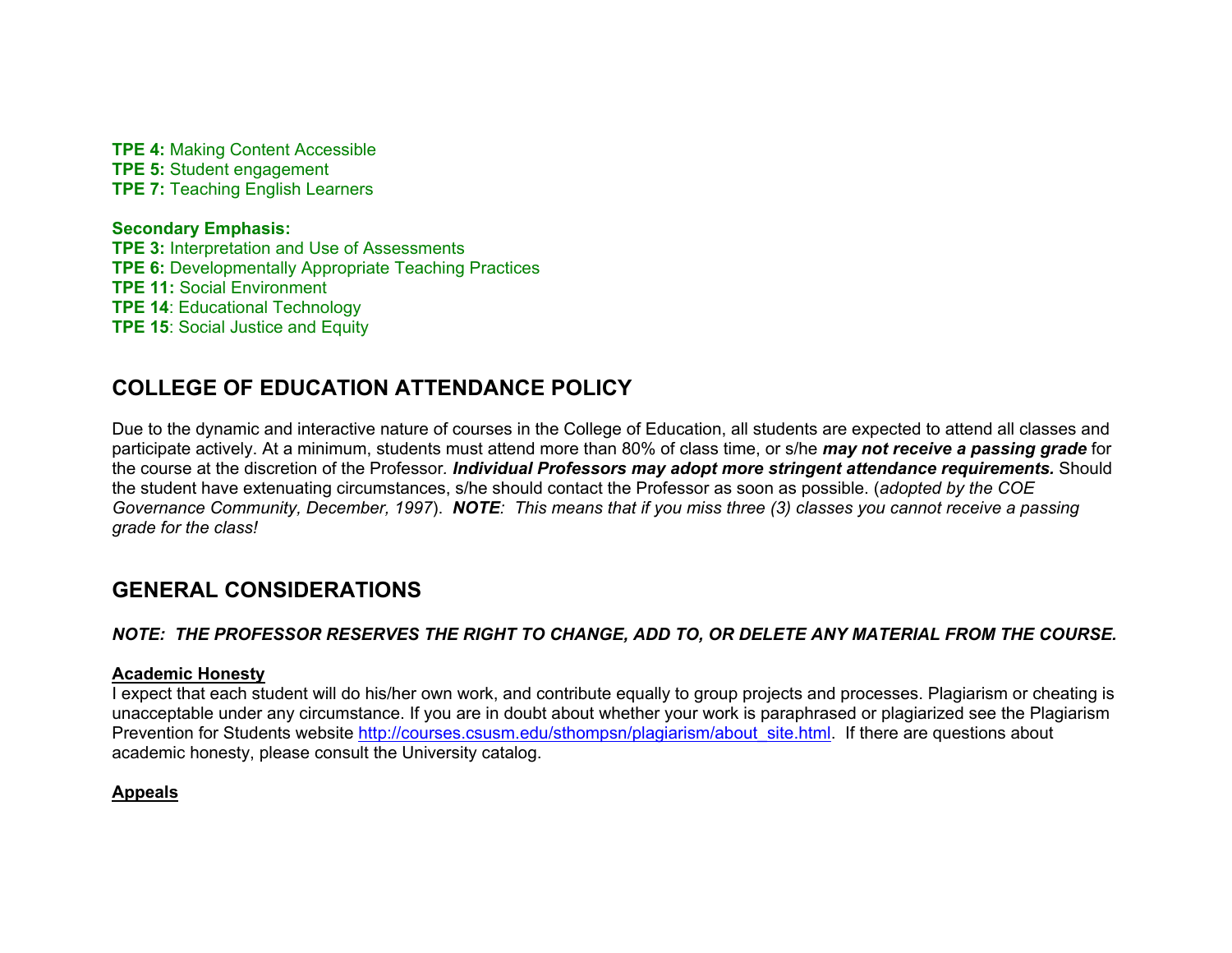**TPE 4:** Making Content Accessible **TPE 5:** Student engagement **TPE 7: Teaching English Learners** 

**Secondary Emphasis: TPE 3:** Interpretation and Use of Assessments **TPE 6:** Developmentally Appropriate Teaching Practices **TPE 11:** Social Environment**TPE 14**: Educational Technology **TPE 15**: Social Justice and Equity

# **COLLEGE OF EDUCATION ATTENDANCE POLICY**

Due to the dynamic and interactive nature of courses in the College of Education, all students are expected to attend all classes and participate actively. At a minimum, students must attend more than 80% of class time, or s/he *may not receive a passing grade* for the course at the discretion of the Professor*. Individual Professors may adopt more stringent attendance requirements.* Should the student have extenuating circumstances, s/he should contact the Professor as soon as possible. (*adopted by the COE Governance Community, December, 1997*). *NOTE: This means that if you miss three (3) classes you cannot receive a passing grade for the class!*

# **GENERAL CONSIDERATIONS**

#### *NOTE: THE PROFESSOR RESERVES THE RIGHT TO CHANGE, ADD TO, OR DELETE ANY MATERIAL FROM THE COURSE.*

#### **Academic Honesty**

I expect that each student will do his/her own work, and contribute equally to group projects and processes. Plagiarism or cheating is unacceptable under any circumstance. If you are in doubt about whether your work is paraphrased or plagiarized see the Plagiarism Prevention for Students website http://courses.csusm.edu/sthompsn/plagiarism/about\_site.html. If there are questions about academic honesty, please consult the University catalog.

#### **Appeals**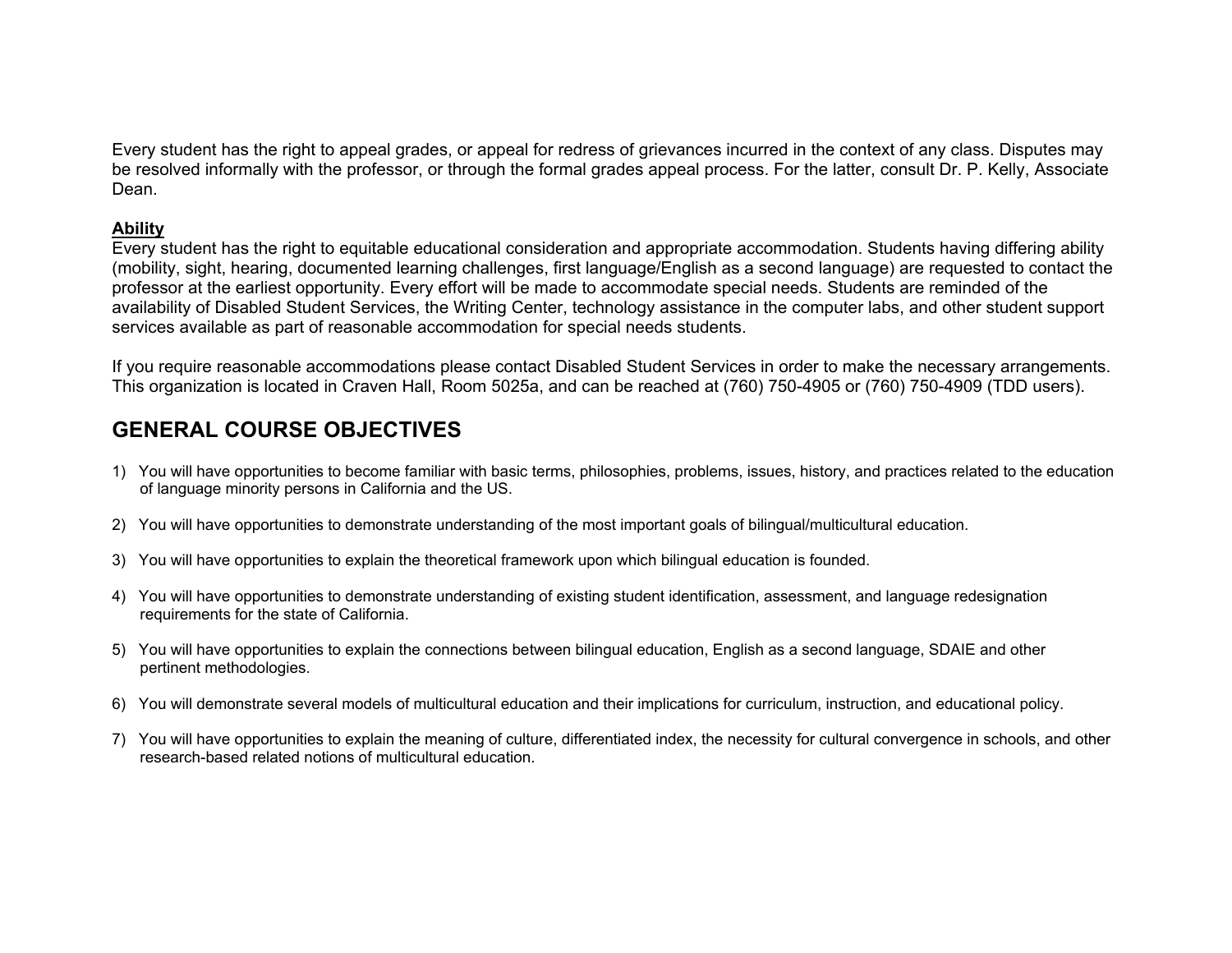Every student has the right to appeal grades, or appeal for redress of grievances incurred in the context of any class. Disputes may be resolved informally with the professor, or through the formal grades appeal process. For the latter, consult Dr. P. Kelly, Associate Dean.

#### **Ability**

Every student has the right to equitable educational consideration and appropriate accommodation. Students having differing ability (mobility, sight, hearing, documented learning challenges, first language/English as a second language) are requested to contact the professor at the earliest opportunity. Every effort will be made to accommodate special needs. Students are reminded of the availability of Disabled Student Services, the Writing Center, technology assistance in the computer labs, and other student support services available as part of reasonable accommodation for special needs students.

If you require reasonable accommodations please contact Disabled Student Services in order to make the necessary arrangements. This organization is located in Craven Hall, Room 5025a, and can be reached at (760) 750-4905 or (760) 750-4909 (TDD users).

# **GENERAL COURSE OBJECTIVES**

- 1) You will have opportunities to become familiar with basic terms, philosophies, problems, issues, history, and practices related to the education of language minority persons in California and the US.
- 2) You will have opportunities to demonstrate understanding of the most important goals of bilingual/multicultural education.
- 3) You will have opportunities to explain the theoretical framework upon which bilingual education is founded.
- 4) You will have opportunities to demonstrate understanding of existing student identification, assessment, and language redesignation requirements for the state of California.
- 5) You will have opportunities to explain the connections between bilingual education, English as a second language, SDAIE and other pertinent methodologies.
- 6) You will demonstrate several models of multicultural education and their implications for curriculum, instruction, and educational policy.
- 7) You will have opportunities to explain the meaning of culture, differentiated index, the necessity for cultural convergence in schools, and other research-based related notions of multicultural education.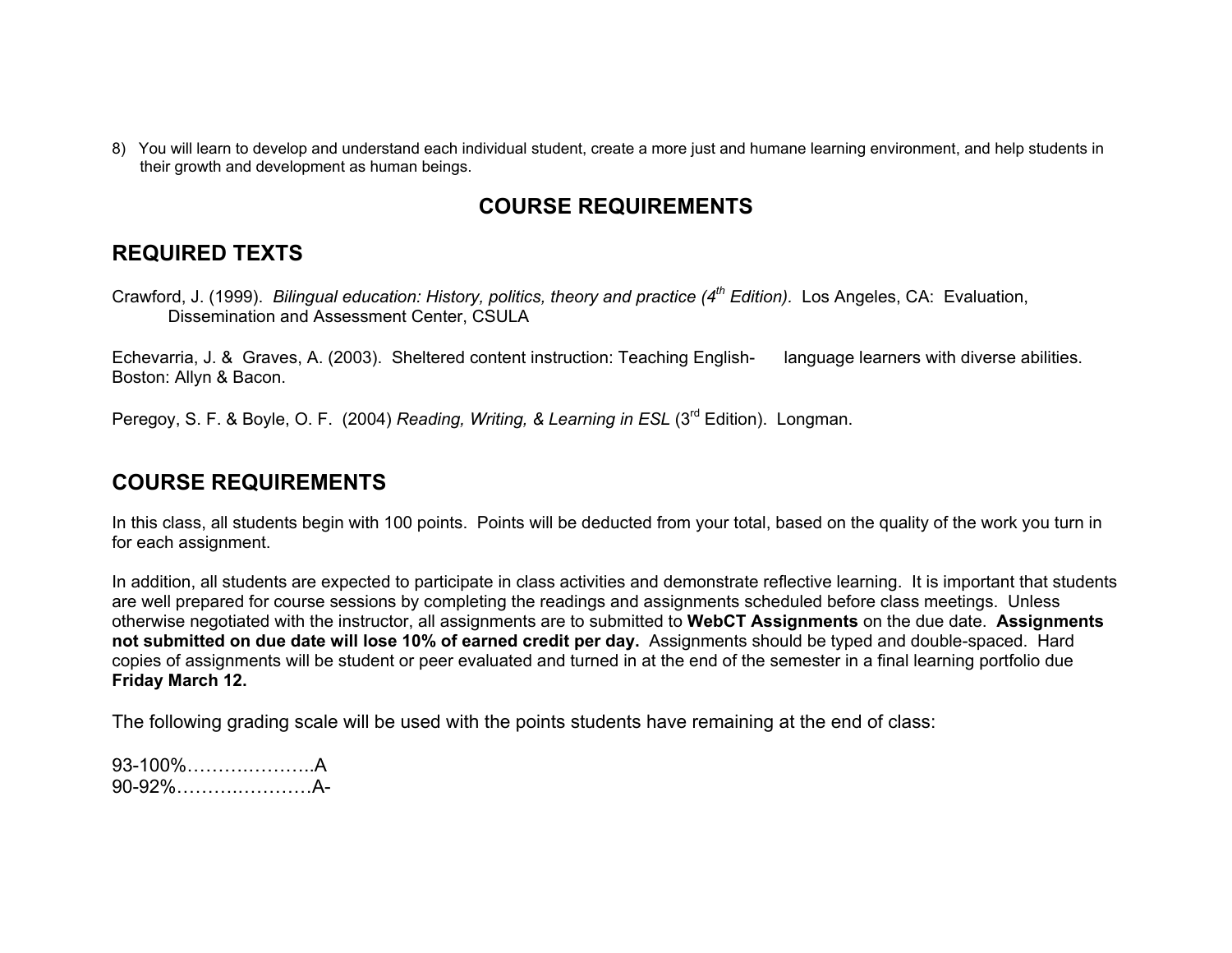8) You will learn to develop and understand each individual student, create a more just and humane learning environment, and help students in their growth and development as human beings.

## **COURSE REQUIREMENTS**

### **REQUIRED TEXTS**

Crawford, J. (1999). *Bilingual education: History, politics, theory and practice (4th Edition).* Los Angeles, CA: Evaluation, Dissemination and Assessment Center, CSULA

Echevarria, J. & Graves, A. (2003). Sheltered content instruction: Teaching English- language learners with diverse abilities. Boston: Allyn & Bacon.

Peregoy, S. F. & Boyle, O. F. (2004) *Reading, Writing, & Learning in ESL* (3<sup>rd</sup> Edition). Longman.

### **COURSE REQUIREMENTS**

In this class, all students begin with 100 points. Points will be deducted from your total, based on the quality of the work you turn in for each assignment.

In addition, all students are expected to participate in class activities and demonstrate reflective learning. It is important that students are well prepared for course sessions by completing the readings and assignments scheduled before class meetings. Unless otherwise negotiated with the instructor, all assignments are to submitted to **WebCT Assignments** on the due date. **Assignments not submitted on due date will lose 10% of earned credit per day.** Assignments should be typed and double-spaced. Hard copies of assignments will be student or peer evaluated and turned in at the end of the semester in a final learning portfolio due **Friday March 12.**

The following grading scale will be used with the points students have remaining at the end of class:

93-100%……….………..A90-92%……….…………A-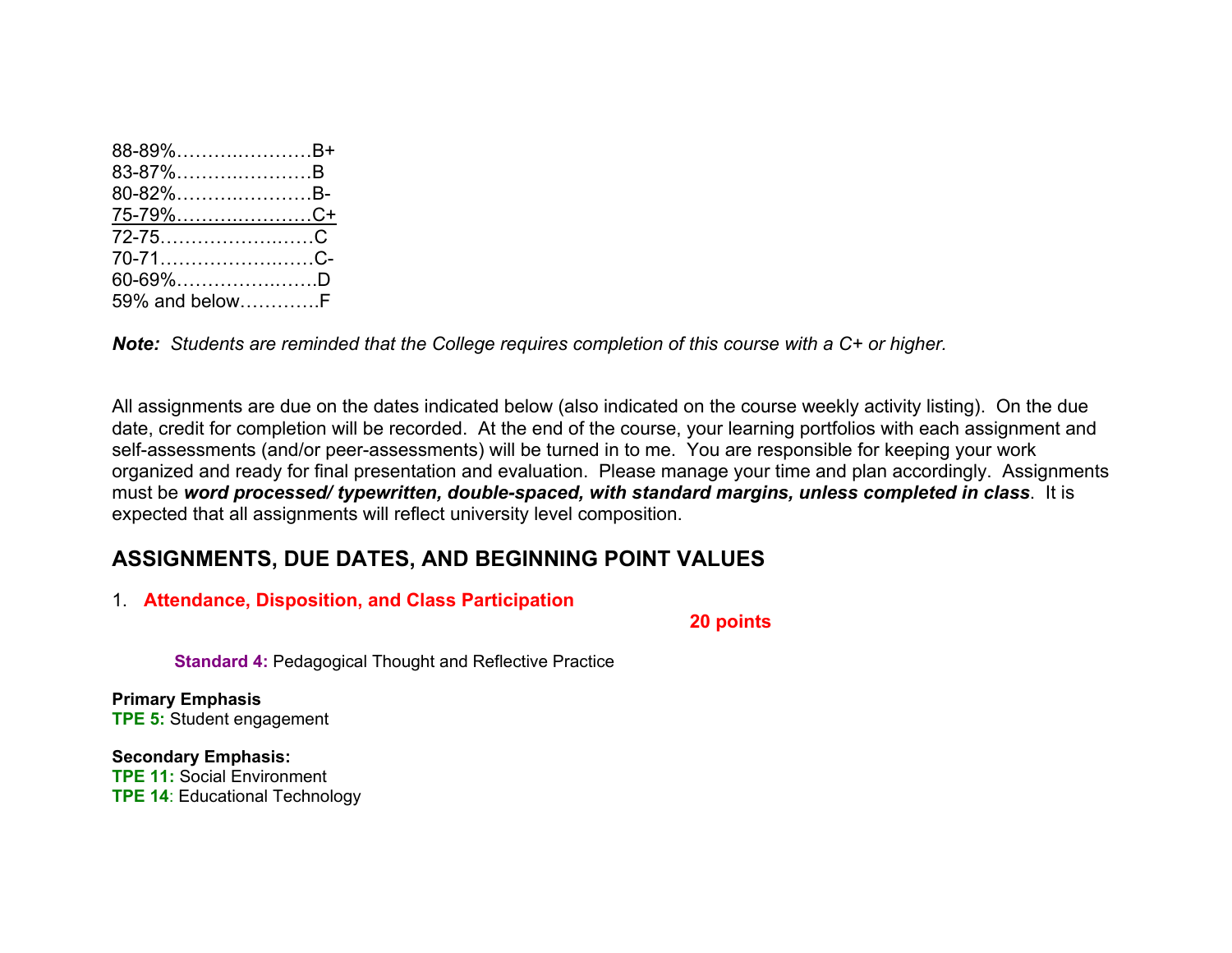| 88-89%B+        |  |
|-----------------|--|
| 83-87%B         |  |
| 80-82%B-        |  |
| <u>75-79%C+</u> |  |
|                 |  |
|                 |  |
| 70-71C-         |  |
| 60-69%D         |  |

*Note: Students are reminded that the College requires completion of this course with a C+ or higher.*

All assignments are due on the dates indicated below (also indicated on the course weekly activity listing). On the due date, credit for completion will be recorded. At the end of the course, your learning portfolios with each assignment and self-assessments (and/or peer-assessments) will be turned in to me. You are responsible for keeping your work organized and ready for final presentation and evaluation. Please manage your time and plan accordingly. Assignments must be *word processed/ typewritten, double-spaced, with standard margins, unless completed in class*. It is expected that all assignments will reflect university level composition.

## **ASSIGNMENTS, DUE DATES, AND BEGINNING POINT VALUES**

1. **Attendance, Disposition, and Class Participation** 

 **20 points**

**Standard 4:** Pedagogical Thought and Reflective Practice

**Primary Emphasis TPE 5:** Student engagement

**Secondary Emphasis: TPE 11:** Social Environment **TPE 14**: Educational Technology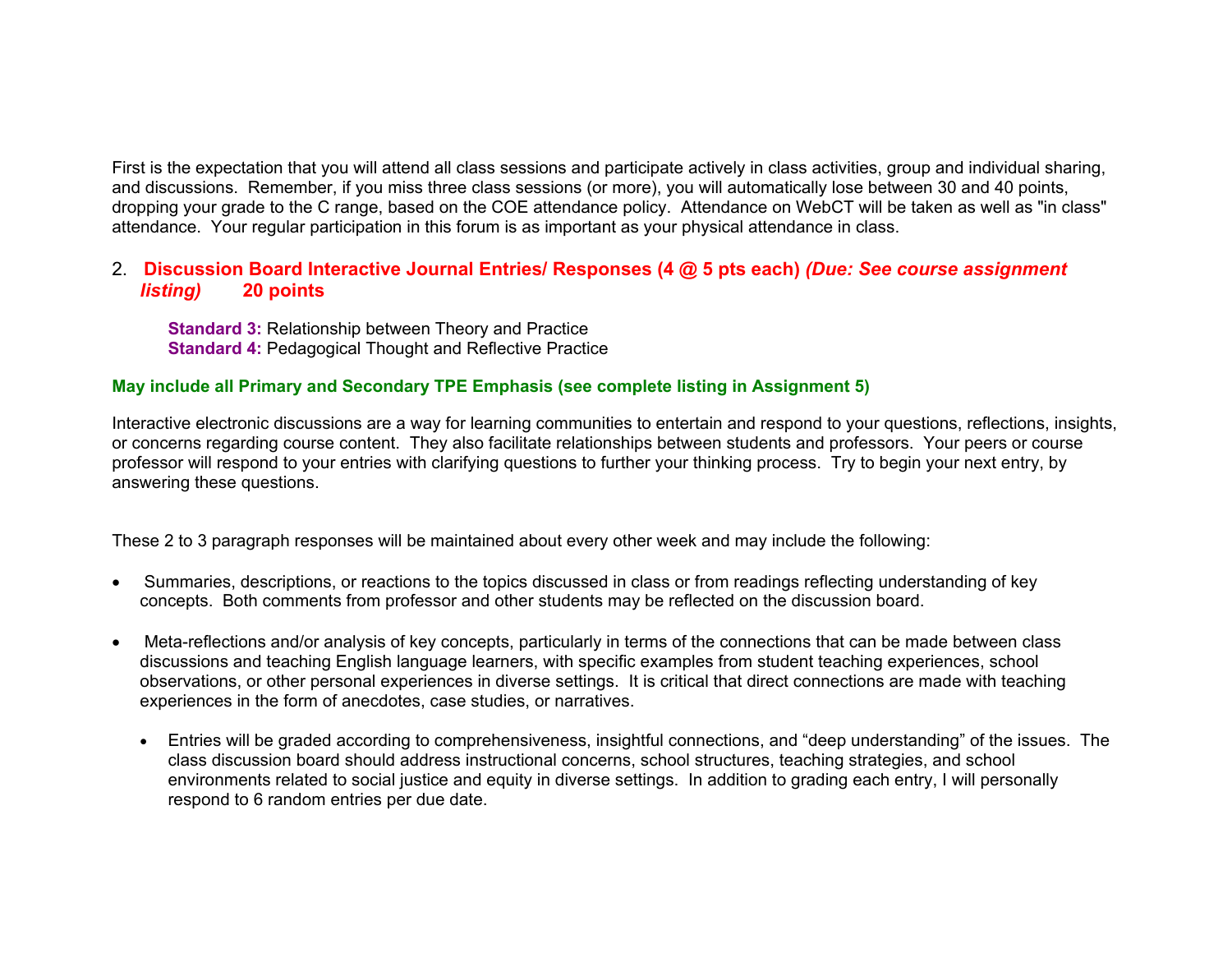First is the expectation that you will attend all class sessions and participate actively in class activities, group and individual sharing, and discussions. Remember, if you miss three class sessions (or more), you will automatically lose between 30 and 40 points, dropping your grade to the C range, based on the COE attendance policy. Attendance on WebCT will be taken as well as "in class" attendance. Your regular participation in this forum is as important as your physical attendance in class.

#### 2. **Discussion Board Interactive Journal Entries/ Responses (4 @ 5 pts each)** *(Due: See course assignment listing)* **20 points**

**Standard 3:** Relationship between Theory and Practice **Standard 4:** Pedagogical Thought and Reflective Practice

#### **May include all Primary and Secondary TPE Emphasis (see complete listing in Assignment 5)**

Interactive electronic discussions are a way for learning communities to entertain and respond to your questions, reflections, insights, or concerns regarding course content. They also facilitate relationships between students and professors. Your peers or course professor will respond to your entries with clarifying questions to further your thinking process. Try to begin your next entry, by answering these questions.

These 2 to 3 paragraph responses will be maintained about every other week and may include the following:

- • Summaries, descriptions, or reactions to the topics discussed in class or from readings reflecting understanding of key concepts. Both comments from professor and other students may be reflected on the discussion board.
- • Meta-reflections and/or analysis of key concepts, particularly in terms of the connections that can be made between class discussions and teaching English language learners, with specific examples from student teaching experiences, school observations, or other personal experiences in diverse settings. It is critical that direct connections are made with teaching experiences in the form of anecdotes, case studies, or narratives.
	- Entries will be graded according to comprehensiveness, insightful connections, and "deep understanding" of the issues. The class discussion board should address instructional concerns, school structures, teaching strategies, and school environments related to social justice and equity in diverse settings. In addition to grading each entry, I will personally respond to 6 random entries per due date.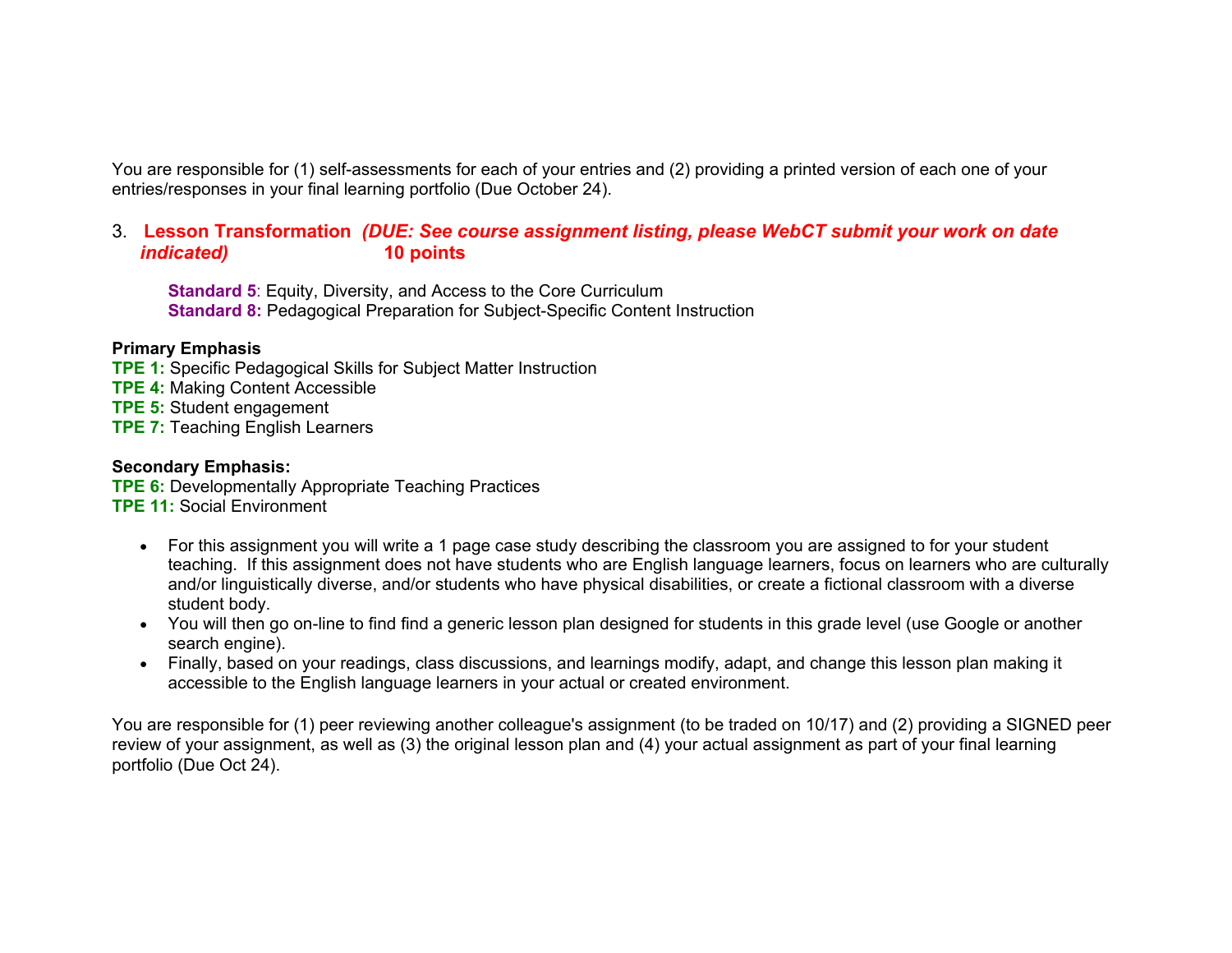You are responsible for (1) self-assessments for each of your entries and (2) providing a printed version of each one of your entries/responses in your final learning portfolio (Due October 24).

#### 3. **Lesson Transformation** *(DUE: See course assignment listing, please WebCT submit your work on date indicated)* **10 points**

**Standard 5**: Equity, Diversity, and Access to the Core Curriculum **Standard 8:** Pedagogical Preparation for Subject-Specific Content Instruction

#### **Primary Emphasis**

**TPE 1:** Specific Pedagogical Skills for Subject Matter Instruction

**TPE 4:** Making Content Accessible

**TPE 5:** Student engagement

**TPE 7: Teaching English Learners** 

#### **Secondary Emphasis:**

**TPE 6:** Developmentally Appropriate Teaching Practices

**TPE 11:** Social Environment

- For this assignment you will write a 1 page case study describing the classroom you are assigned to for your student teaching. If this assignment does not have students who are English language learners, focus on learners who are culturally and/or linguistically diverse, and/or students who have physical disabilities, or create a fictional classroom with a diverse student body.
- You will then go on-line to find find a generic lesson plan designed for students in this grade level (use Google or another search engine).
- Finally, based on your readings, class discussions, and learnings modify, adapt, and change this lesson plan making it accessible to the English language learners in your actual or created environment.

You are responsible for (1) peer reviewing another colleague's assignment (to be traded on 10/17) and (2) providing a SIGNED peer review of your assignment, as well as (3) the original lesson plan and (4) your actual assignment as part of your final learning portfolio (Due Oct 24).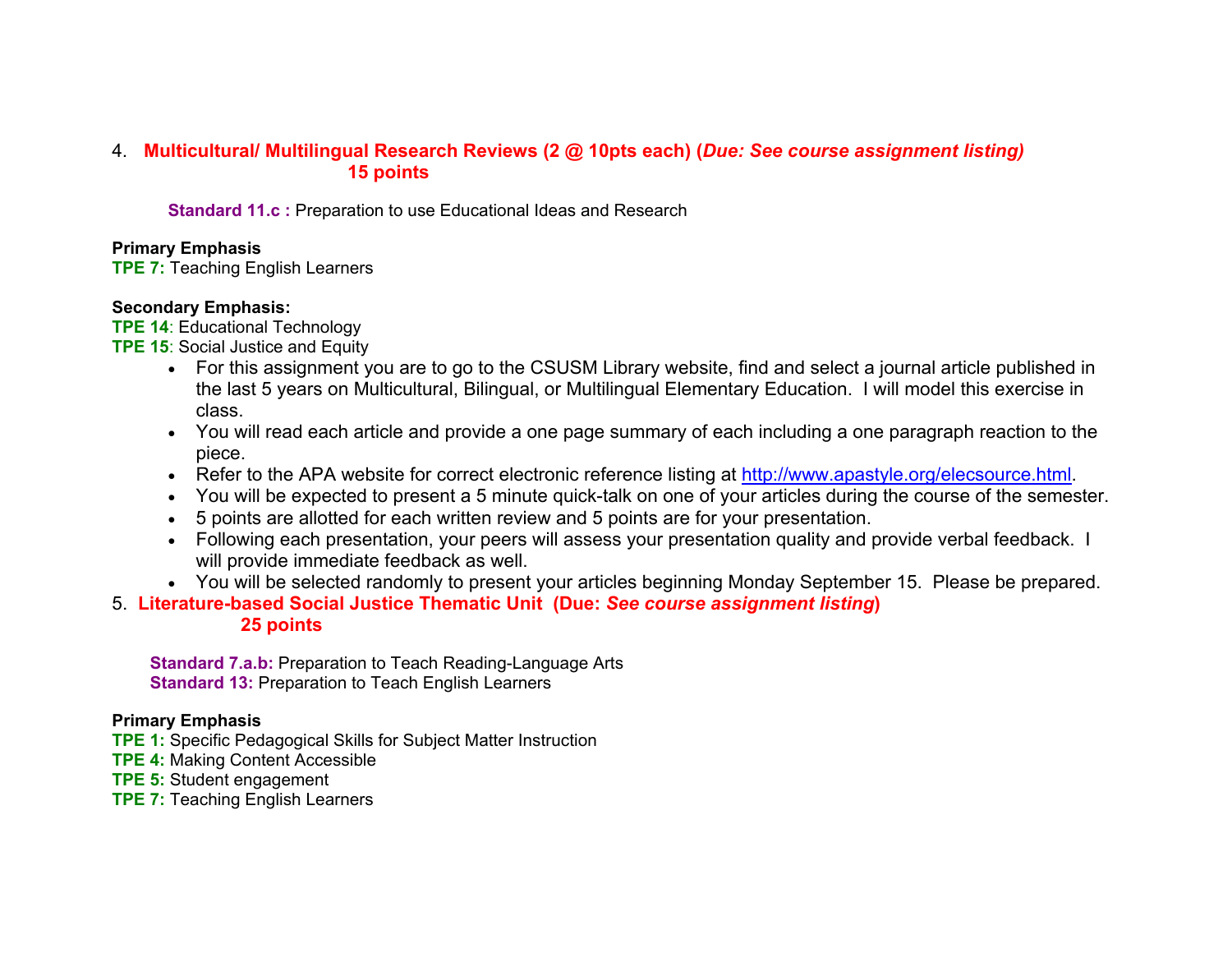#### 4. **Multicultural/ Multilingual Research Reviews (2 @ 10pts each) (***Due: See course assignment listing)*  **15 points**

**Standard 11.c :** Preparation to use Educational Ideas and Research

#### **Primary Emphasis**

**TPE 7:** Teaching English Learners

#### **Secondary Emphasis:**

**TPE 14**: Educational Technology

- **TPE 15: Social Justice and Equity** 
	- For this assignment you are to go to the CSUSM Library website, find and select a journal article published in the last 5 years on Multicultural, Bilingual, or Multilingual Elementary Education. I will model this exercise in class.
	- You will read each article and provide a one page summary of each including a one paragraph reaction to the piece.
	- Refer to the APA website for correct electronic reference listing at http://www.apastyle.org/elecsource.html
	- You will be expected to present a 5 minute quick-talk on one of your articles during the course of the semester.
	- 5 points are allotted for each written review and 5 points are for your presentation.
	- Following each presentation, your peers will assess your presentation quality and provide verbal feedback. I will provide immediate feedback as well.
	- You will be selected randomly to present your articles beginning Monday September 15. Please be prepared.
- 5. **Literature-based Social Justice Thematic Unit (Due:** *See course assignment listing***) 25 points**

**Standard 7.a.b:** Preparation to Teach Reading-Language Arts **Standard 13:** Preparation to Teach English Learners

#### **Primary Emphasis**

- **TPE 1:** Specific Pedagogical Skills for Subject Matter Instruction
- **TPE 4:** Making Content Accessible
- **TPE 5:** Student engagement
- **TPE 7:** Teaching English Learners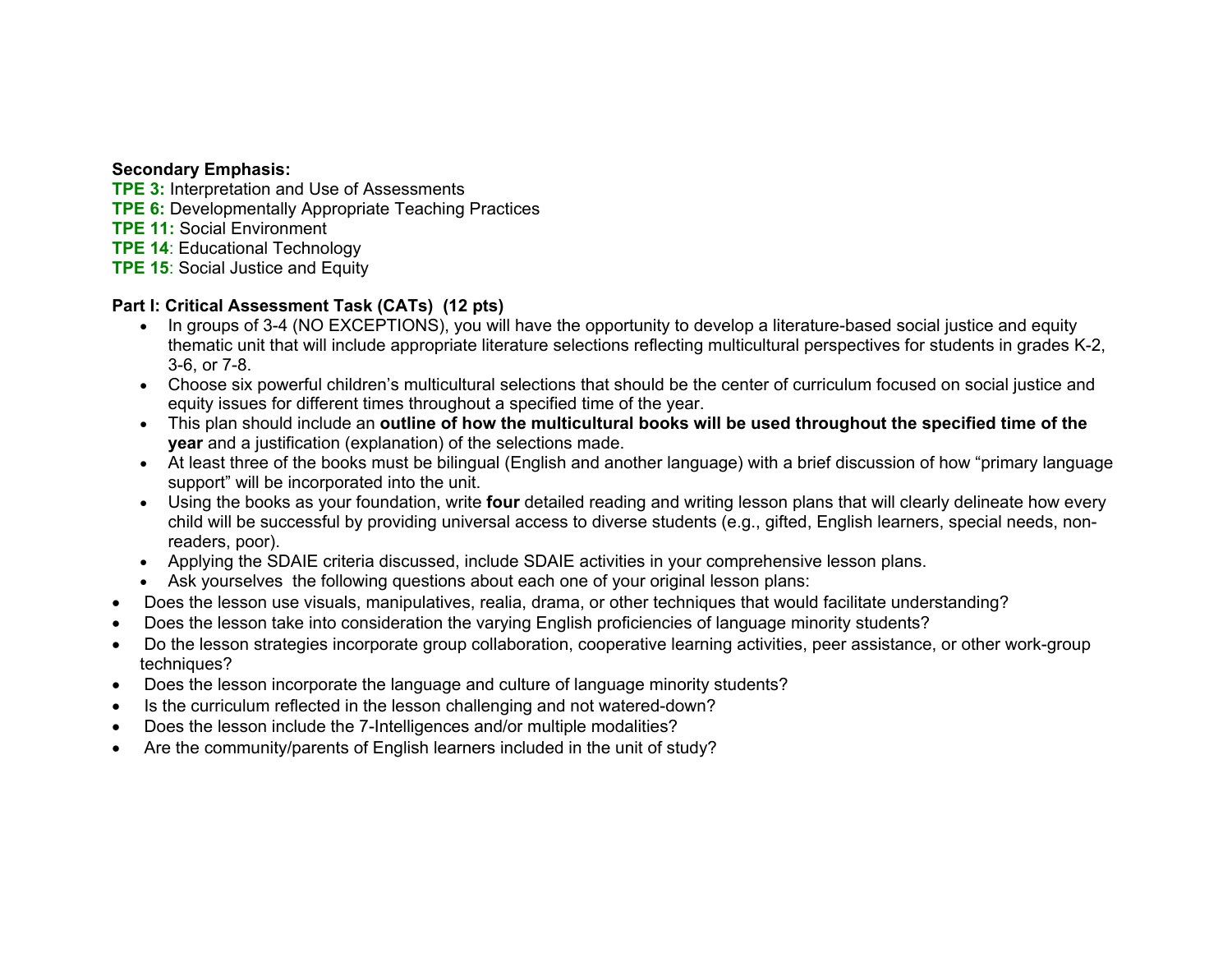#### **Secondary Emphasis:**

- **TPE 3:** Interpretation and Use of Assessments
- **TPE 6:** Developmentally Appropriate Teaching Practices
- **TPE 11:** Social Environment
- **TPE 14**: Educational Technology
- **TPE 15: Social Justice and Equity**

#### **Part I: Critical Assessment Task (CATs) (12 pts)**

- In groups of 3-4 (NO EXCEPTIONS), you will have the opportunity to develop a literature-based social justice and equity thematic unit that will include appropriate literature selections reflecting multicultural perspectives for students in grades K-2, 3-6, or 7-8.
- Choose six powerful children's multicultural selections that should be the center of curriculum focused on social justice and equity issues for different times throughout a specified time of the year.
- This plan should include an **outline of how the multicultural books will be used throughout the specified time of the year** and a justification (explanation) of the selections made.
- At least three of the books must be bilingual (English and another language) with a brief discussion of how "primary language support" will be incorporated into the unit.
- Using the books as your foundation, write **four** detailed reading and writing lesson plans that will clearly delineate how every child will be successful by providing universal access to diverse students (e.g., gifted, English learners, special needs, nonreaders, poor).
- Applying the SDAIE criteria discussed, include SDAIE activities in your comprehensive lesson plans.
- Ask yourselves the following questions about each one of your original lesson plans:
- •Does the lesson use visuals, manipulatives, realia, drama, or other techniques that would facilitate understanding?
- •Does the lesson take into consideration the varying English proficiencies of language minority students?
- • Do the lesson strategies incorporate group collaboration, cooperative learning activities, peer assistance, or other work-group techniques?
- •Does the lesson incorporate the language and culture of language minority students?
- •Is the curriculum reflected in the lesson challenging and not watered-down?
- •Does the lesson include the 7-Intelligences and/or multiple modalities?
- •Are the community/parents of English learners included in the unit of study?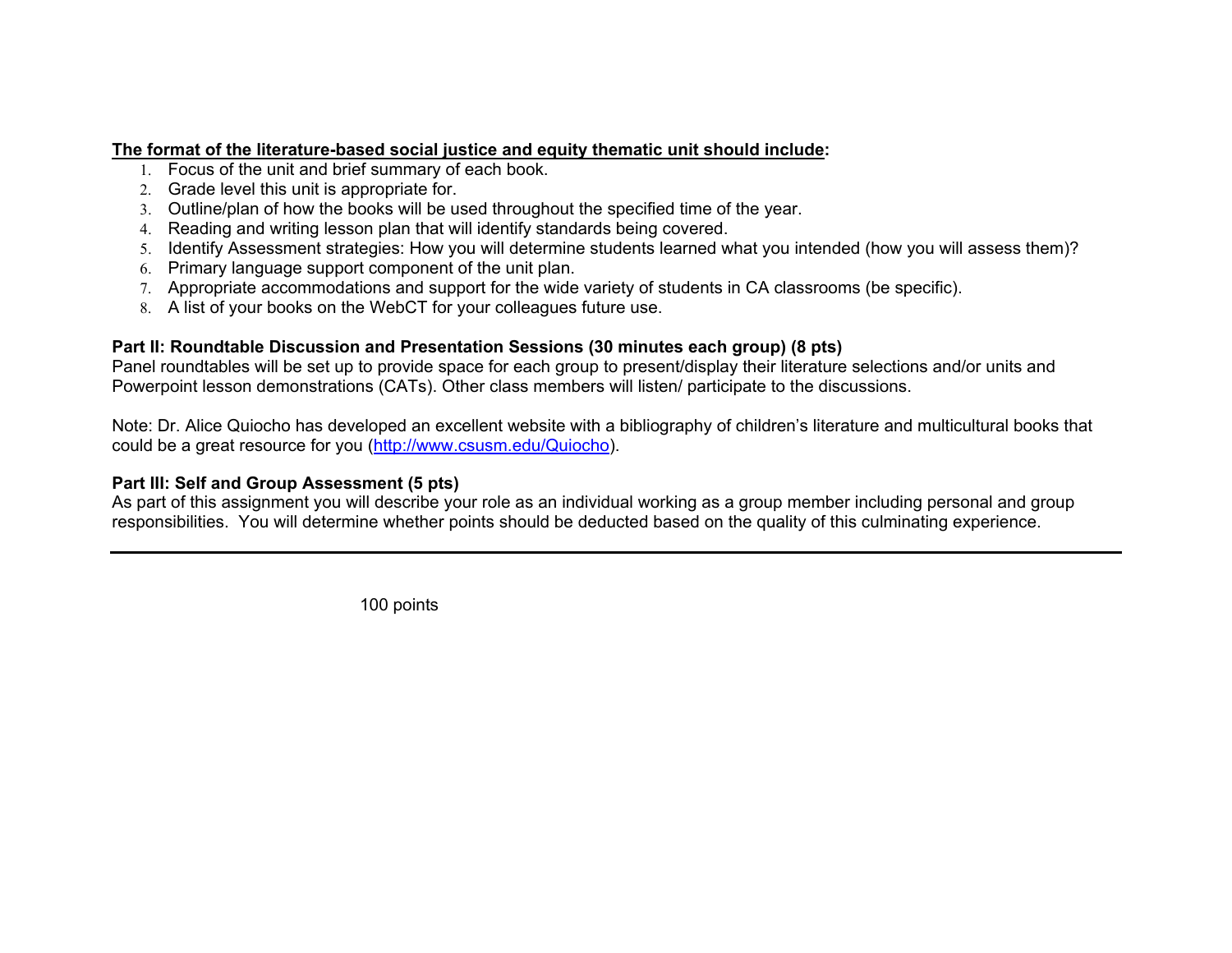#### **The format of the literature-based social justice and equity thematic unit should include:**

- 1. Focus of the unit and brief summary of each book.
- 2. Grade level this unit is appropriate for.
- 3. Outline/plan of how the books will be used throughout the specified time of the year.
- 4. Reading and writing lesson plan that will identify standards being covered.
- 5. Identify Assessment strategies: How you will determine students learned what you intended (how you will assess them)?
- 6. Primary language support component of the unit plan.
- 7. Appropriate accommodations and support for the wide variety of students in CA classrooms (be specific).
- 8. A list of your books on the WebCT for your colleagues future use.

#### **Part II: Roundtable Discussion and Presentation Sessions (30 minutes each group) (8 pts)**

Panel roundtables will be set up to provide space for each group to present/display their literature selections and/or units and Powerpoint lesson demonstrations (CATs). Other class members will listen/ participate to the discussions.

Note: Dr. Alice Quiocho has developed an excellent website with a bibliography of children's literature and multicultural books that could be a great resource for you (http://www.csusm.edu/Quiocho).

#### **Part III: Self and Group Assessment (5 pts)**

As part of this assignment you will describe your role as an individual working as a group member including personal and group responsibilities. You will determine whether points should be deducted based on the quality of this culminating experience.

100 points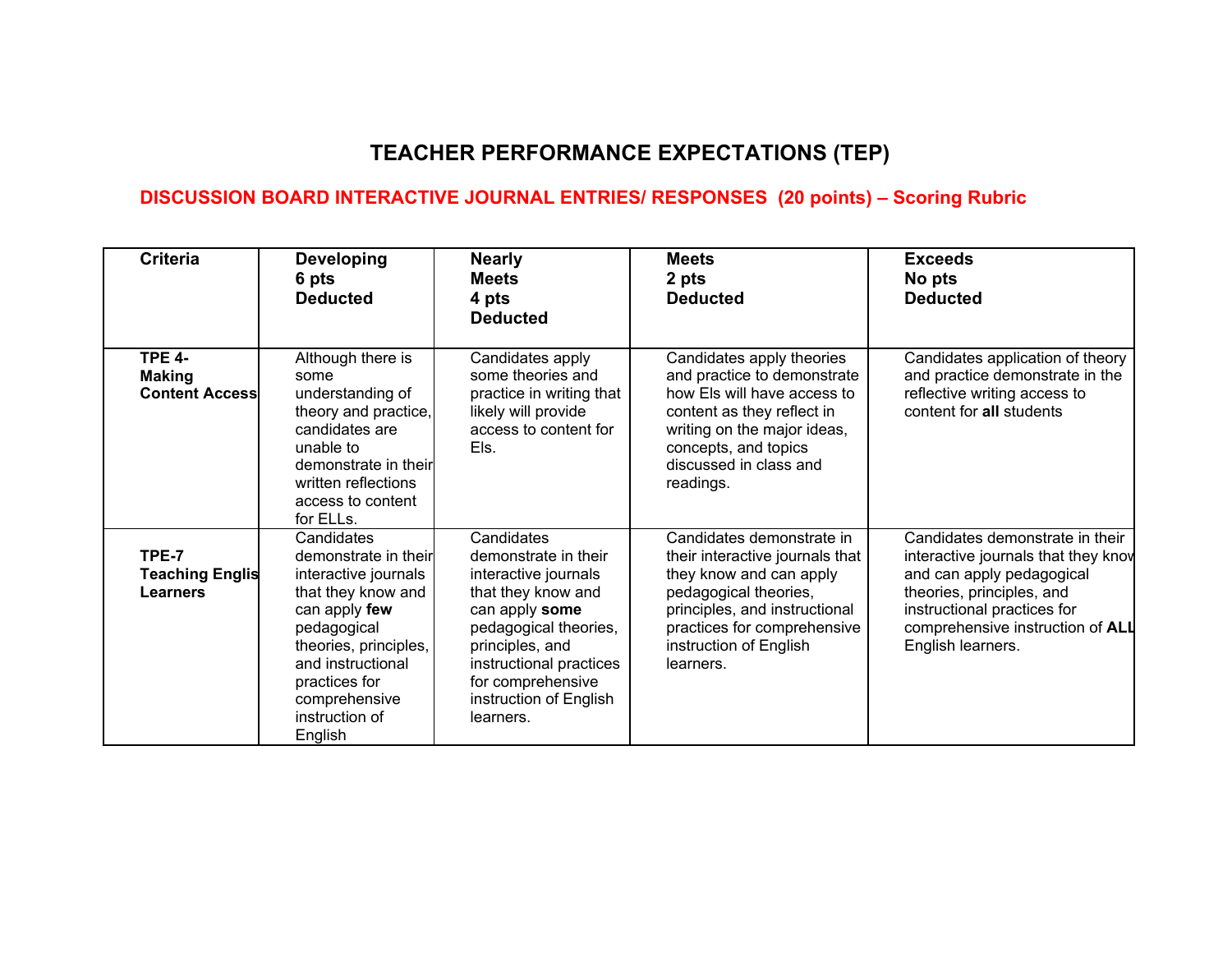# **TEACHER PERFORMANCE EXPECTATIONS (TEP)**

### **DISCUSSION BOARD INTERACTIVE JOURNAL ENTRIES/ RESPONSES (20 points) – Scoring Rubric**

| <b>Criteria</b>                                         | <b>Developing</b><br>6 pts<br><b>Deducted</b>                                                                                                                                                                                 | <b>Nearly</b><br><b>Meets</b><br>4 pts<br><b>Deducted</b>                                                                                                                                                                             | <b>Meets</b><br>2 pts<br><b>Deducted</b>                                                                                                                                                                                | <b>Exceeds</b><br>No pts<br><b>Deducted</b>                                                                                                                                                                              |
|---------------------------------------------------------|-------------------------------------------------------------------------------------------------------------------------------------------------------------------------------------------------------------------------------|---------------------------------------------------------------------------------------------------------------------------------------------------------------------------------------------------------------------------------------|-------------------------------------------------------------------------------------------------------------------------------------------------------------------------------------------------------------------------|--------------------------------------------------------------------------------------------------------------------------------------------------------------------------------------------------------------------------|
| <b>TPE 4-</b><br><b>Making</b><br><b>Content Access</b> | Although there is<br>some<br>understanding of<br>theory and practice,<br>candidates are<br>unable to<br>demonstrate in their<br>written reflections<br>access to content<br>for ELLs.                                         | Candidates apply<br>some theories and<br>practice in writing that<br>likely will provide<br>access to content for<br>Els.                                                                                                             | Candidates apply theories<br>and practice to demonstrate<br>how Els will have access to<br>content as they reflect in<br>writing on the major ideas,<br>concepts, and topics<br>discussed in class and<br>readings.     | Candidates application of theory<br>and practice demonstrate in the<br>reflective writing access to<br>content for all students                                                                                          |
| TPE-7<br><b>Teaching Englis</b><br><b>Learners</b>      | Candidates<br>demonstrate in their<br>interactive journals<br>that they know and<br>can apply few<br>pedagogical<br>theories, principles,<br>and instructional<br>practices for<br>comprehensive<br>instruction of<br>English | Candidates<br>demonstrate in their<br>interactive journals<br>that they know and<br>can apply some<br>pedagogical theories,<br>principles, and<br>instructional practices<br>for comprehensive<br>instruction of English<br>learners. | Candidates demonstrate in<br>their interactive journals that<br>they know and can apply<br>pedagogical theories,<br>principles, and instructional<br>practices for comprehensive<br>instruction of English<br>learners. | Candidates demonstrate in their<br>interactive journals that they know<br>and can apply pedagogical<br>theories, principles, and<br>instructional practices for<br>comprehensive instruction of ALL<br>English learners. |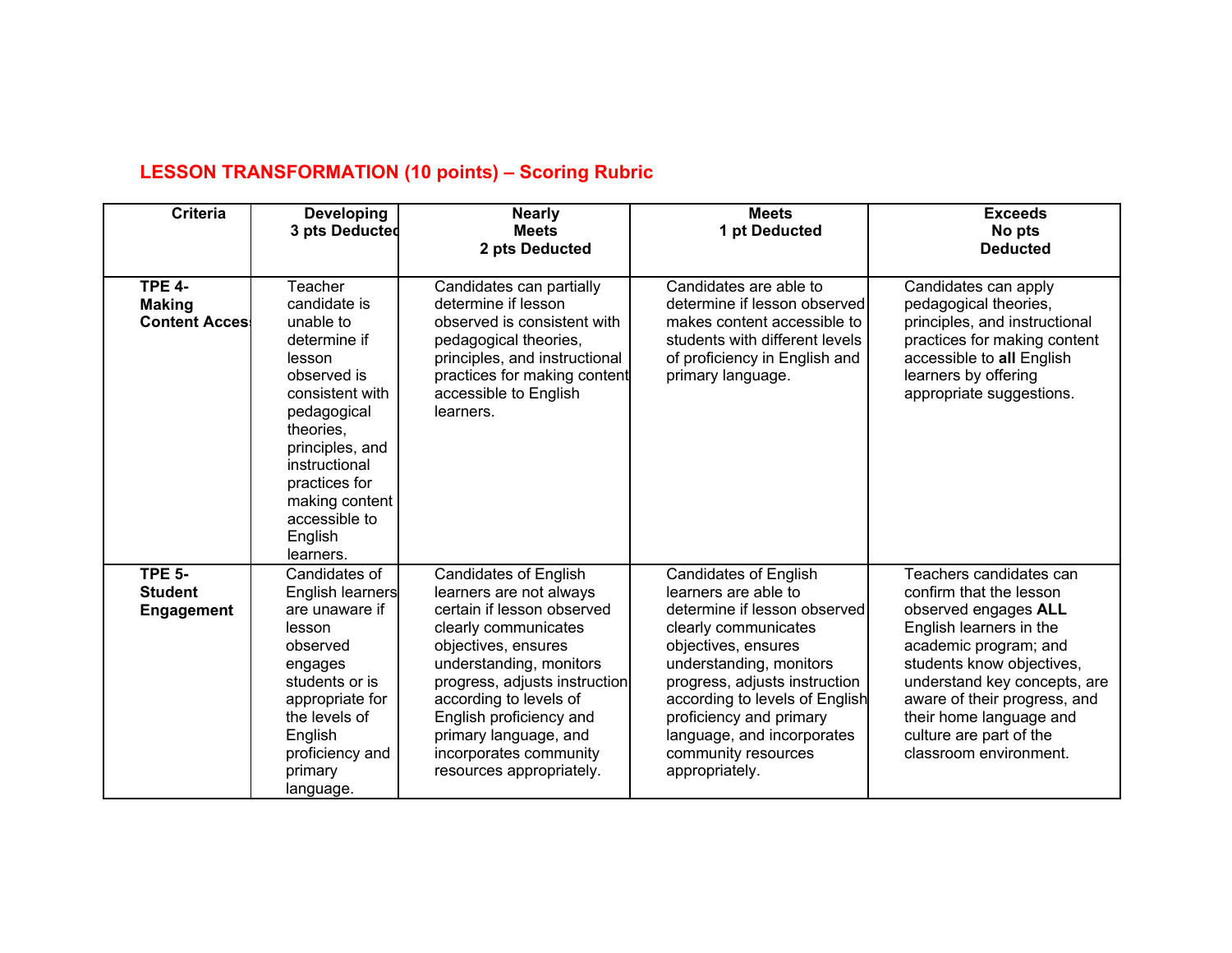| <b>Criteria</b>                                         | <b>Developing</b><br>3 pts Deducted                                                                                                                                                                                                          | <b>Nearly</b><br><b>Meets</b><br>2 pts Deducted                                                                                                                                                                                                                                                                                      | <b>Meets</b><br>1 pt Deducted                                                                                                                                                                                                                                                                                                       | <b>Exceeds</b><br>No pts<br><b>Deducted</b>                                                                                                                                                                                                                                                                 |
|---------------------------------------------------------|----------------------------------------------------------------------------------------------------------------------------------------------------------------------------------------------------------------------------------------------|--------------------------------------------------------------------------------------------------------------------------------------------------------------------------------------------------------------------------------------------------------------------------------------------------------------------------------------|-------------------------------------------------------------------------------------------------------------------------------------------------------------------------------------------------------------------------------------------------------------------------------------------------------------------------------------|-------------------------------------------------------------------------------------------------------------------------------------------------------------------------------------------------------------------------------------------------------------------------------------------------------------|
| <b>TPE 4-</b><br><b>Making</b><br><b>Content Access</b> | Teacher<br>candidate is<br>unable to<br>determine if<br>lesson<br>observed is<br>consistent with<br>pedagogical<br>theories,<br>principles, and<br>instructional<br>practices for<br>making content<br>accessible to<br>English<br>learners. | Candidates can partially<br>determine if lesson<br>observed is consistent with<br>pedagogical theories,<br>principles, and instructional<br>practices for making content<br>accessible to English<br>learners.                                                                                                                       | Candidates are able to<br>determine if lesson observed<br>makes content accessible to<br>students with different levels<br>of proficiency in English and<br>primary language.                                                                                                                                                       | Candidates can apply<br>pedagogical theories,<br>principles, and instructional<br>practices for making content<br>accessible to all English<br>learners by offering<br>appropriate suggestions.                                                                                                             |
| <b>TPE 5-</b><br><b>Student</b><br><b>Engagement</b>    | Candidates of<br>English learners<br>are unaware if<br>lesson<br>observed<br>engages<br>students or is<br>appropriate for<br>the levels of<br>English<br>proficiency and<br>primary<br>language.                                             | <b>Candidates of English</b><br>learners are not always<br>certain if lesson observed<br>clearly communicates<br>objectives, ensures<br>understanding, monitors<br>progress, adjusts instruction<br>according to levels of<br>English proficiency and<br>primary language, and<br>incorporates community<br>resources appropriately. | <b>Candidates of English</b><br>learners are able to<br>determine if lesson observed<br>clearly communicates<br>objectives, ensures<br>understanding, monitors<br>progress, adjusts instruction<br>according to levels of English<br>proficiency and primary<br>language, and incorporates<br>community resources<br>appropriately. | Teachers candidates can<br>confirm that the lesson<br>observed engages ALL<br>English learners in the<br>academic program; and<br>students know objectives,<br>understand key concepts, are<br>aware of their progress, and<br>their home language and<br>culture are part of the<br>classroom environment. |

# **LESSON TRANSFORMATION (10 points) – Scoring Rubric**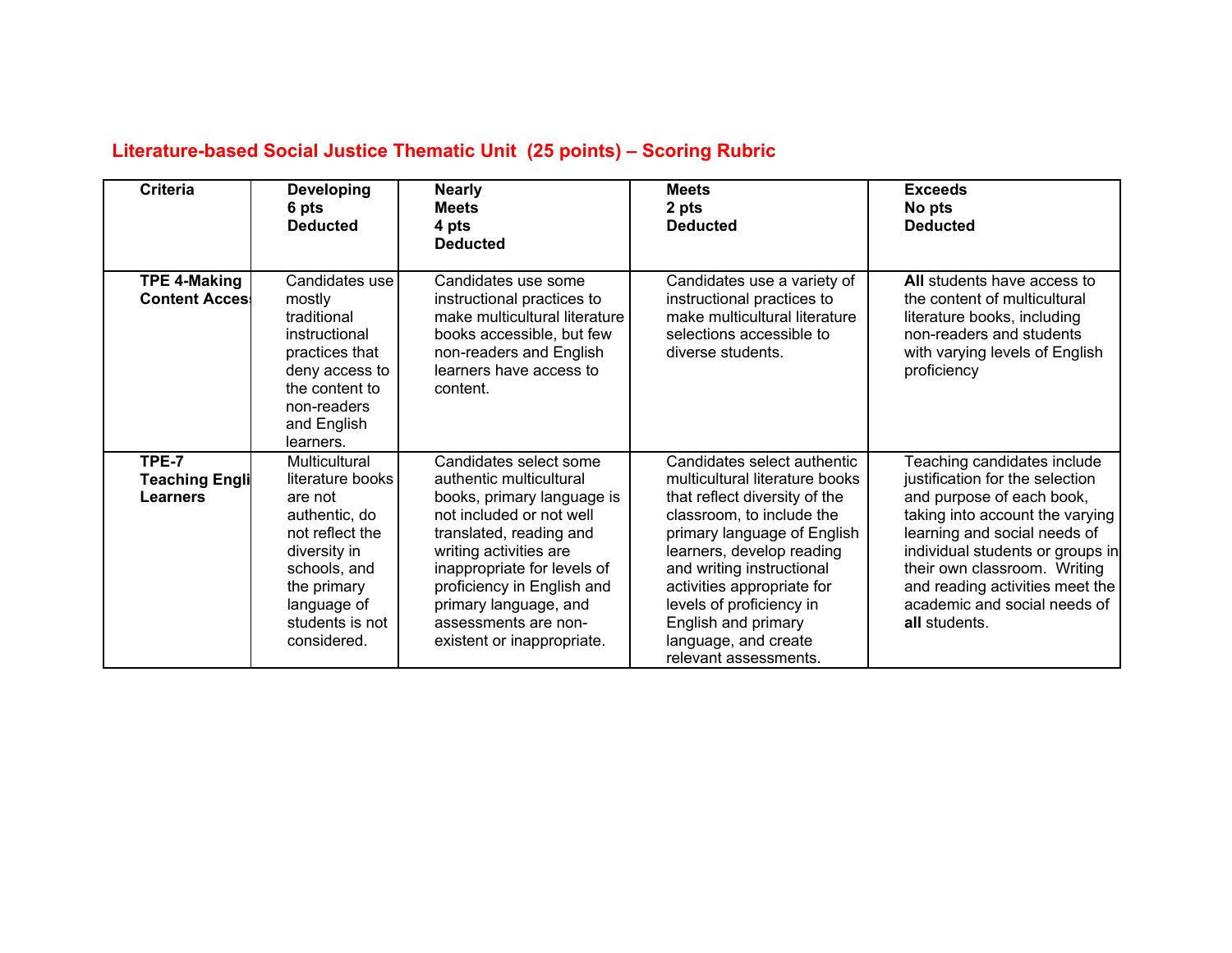# **Literature-based Social Justice Thematic Unit (25 points) – Scoring Rubric**

| <b>Criteria</b>                              | <b>Developing</b><br>6 pts<br><b>Deducted</b>                                                                                                             | <b>Nearly</b><br><b>Meets</b><br>4 pts<br><b>Deducted</b>                                                                                                                                                                                               | <b>Meets</b><br>2 pts<br><b>Deducted</b>                                                                                                                                                                                                                                              | <b>Exceeds</b><br>No pts<br><b>Deducted</b>                                                                                                                                                                                                          |
|----------------------------------------------|-----------------------------------------------------------------------------------------------------------------------------------------------------------|---------------------------------------------------------------------------------------------------------------------------------------------------------------------------------------------------------------------------------------------------------|---------------------------------------------------------------------------------------------------------------------------------------------------------------------------------------------------------------------------------------------------------------------------------------|------------------------------------------------------------------------------------------------------------------------------------------------------------------------------------------------------------------------------------------------------|
| <b>TPE 4-Making</b><br><b>Content Acces!</b> | Candidates use<br>mostly<br>traditional<br>instructional<br>practices that<br>deny access to<br>the content to<br>non-readers<br>and English<br>learners. | Candidates use some<br>instructional practices to<br>make multicultural literature<br>books accessible, but few<br>non-readers and English<br>learners have access to<br>content.                                                                       | Candidates use a variety of<br>instructional practices to<br>make multicultural literature<br>selections accessible to<br>diverse students.                                                                                                                                           | All students have access to<br>the content of multicultural<br>literature books, including<br>non-readers and students<br>with varying levels of English<br>proficiency                                                                              |
| TPE-7                                        | Multicultural                                                                                                                                             | Candidates select some                                                                                                                                                                                                                                  | Candidates select authentic                                                                                                                                                                                                                                                           | Teaching candidates include                                                                                                                                                                                                                          |
| <b>Teaching Engli</b>                        | literature books                                                                                                                                          | authentic multicultural                                                                                                                                                                                                                                 | multicultural literature books                                                                                                                                                                                                                                                        | justification for the selection                                                                                                                                                                                                                      |
| <b>Learners</b>                              | are not<br>authentic, do<br>not reflect the<br>diversity in<br>schools, and<br>the primary<br>language of<br>students is not<br>considered.               | books, primary language is<br>not included or not well<br>translated, reading and<br>writing activities are<br>inappropriate for levels of<br>proficiency in English and<br>primary language, and<br>assessments are non-<br>existent or inappropriate. | that reflect diversity of the<br>classroom, to include the<br>primary language of English<br>learners, develop reading<br>and writing instructional<br>activities appropriate for<br>levels of proficiency in<br>English and primary<br>language, and create<br>relevant assessments. | and purpose of each book,<br>taking into account the varying<br>learning and social needs of<br>individual students or groups in<br>their own classroom. Writing<br>and reading activities meet the<br>academic and social needs of<br>all students. |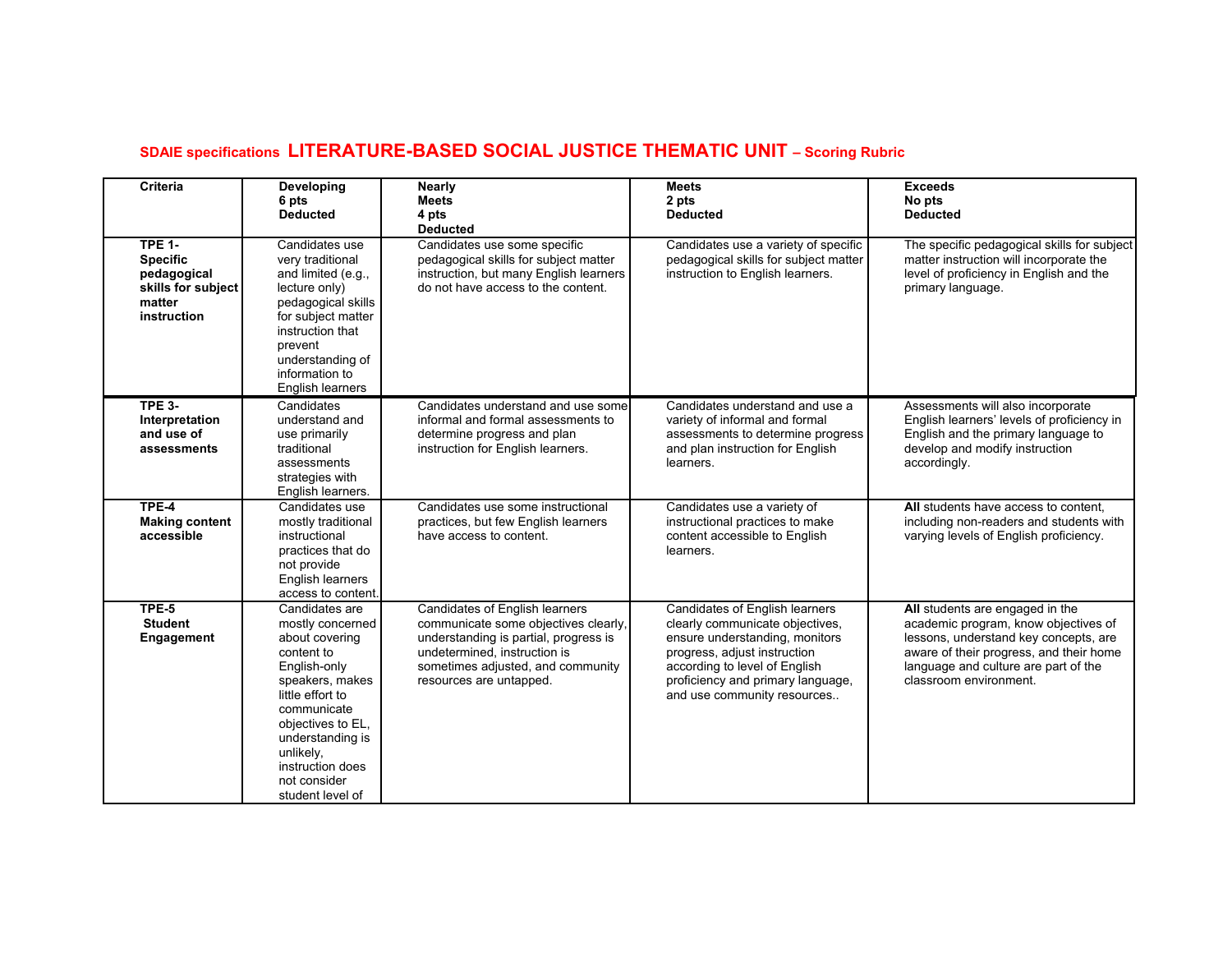# **SDAIE specifications LITERATURE-BASED SOCIAL JUSTICE THEMATIC UNIT – Scoring Rubric**

| <b>Criteria</b>                                                                                | Developing<br>6 pts<br><b>Deducted</b>                                                                                                                                                                                                                 | Nearly<br><b>Meets</b><br>4 pts<br><b>Deducted</b>                                                                                                                                                              | <b>Meets</b><br>2 pts<br><b>Deducted</b>                                                                                                                                                                                                 | <b>Exceeds</b><br>No pts<br><b>Deducted</b>                                                                                                                                                                                   |
|------------------------------------------------------------------------------------------------|--------------------------------------------------------------------------------------------------------------------------------------------------------------------------------------------------------------------------------------------------------|-----------------------------------------------------------------------------------------------------------------------------------------------------------------------------------------------------------------|------------------------------------------------------------------------------------------------------------------------------------------------------------------------------------------------------------------------------------------|-------------------------------------------------------------------------------------------------------------------------------------------------------------------------------------------------------------------------------|
| <b>TPE 1-</b><br><b>Specific</b><br>pedagogical<br>skills for subject<br>matter<br>instruction | Candidates use<br>very traditional<br>and limited (e.g.,<br>lecture only)<br>pedagogical skills<br>for subject matter<br>instruction that<br>prevent<br>understanding of<br>information to<br>English learners                                         | Candidates use some specific<br>pedagogical skills for subject matter<br>instruction, but many English learners<br>do not have access to the content.                                                           | Candidates use a variety of specific<br>pedagogical skills for subject matter<br>instruction to English learners.                                                                                                                        | The specific pedagogical skills for subject<br>matter instruction will incorporate the<br>level of proficiency in English and the<br>primary language.                                                                        |
| <b>TPE 3-</b><br>Interpretation<br>and use of<br>assessments                                   | Candidates<br>understand and<br>use primarily<br>traditional<br>assessments<br>strategies with<br>English learners.                                                                                                                                    | Candidates understand and use some<br>informal and formal assessments to<br>determine progress and plan<br>instruction for English learners.                                                                    | Candidates understand and use a<br>variety of informal and formal<br>assessments to determine progress<br>and plan instruction for English<br>learners.                                                                                  | Assessments will also incorporate<br>English learners' levels of proficiency in<br>English and the primary language to<br>develop and modify instruction<br>accordingly.                                                      |
| TPE-4<br><b>Making content</b><br>accessible                                                   | Candidates use<br>mostly traditional<br>instructional<br>practices that do<br>not provide<br>English learners<br>access to content.                                                                                                                    | Candidates use some instructional<br>practices, but few English learners<br>have access to content.                                                                                                             | Candidates use a variety of<br>instructional practices to make<br>content accessible to English<br>learners.                                                                                                                             | All students have access to content,<br>including non-readers and students with<br>varying levels of English proficiency.                                                                                                     |
| TPE-5<br><b>Student</b><br>Engagement                                                          | Candidates are<br>mostly concerned<br>about covering<br>content to<br>English-only<br>speakers, makes<br>little effort to<br>communicate<br>objectives to EL,<br>understanding is<br>unlikely,<br>instruction does<br>not consider<br>student level of | Candidates of English learners<br>communicate some objectives clearly,<br>understanding is partial, progress is<br>undetermined, instruction is<br>sometimes adjusted, and community<br>resources are untapped. | Candidates of English learners<br>clearly communicate objectives,<br>ensure understanding, monitors<br>progress, adjust instruction<br>according to level of English<br>proficiency and primary language,<br>and use community resources | All students are engaged in the<br>academic program, know objectives of<br>lessons, understand key concepts, are<br>aware of their progress, and their home<br>language and culture are part of the<br>classroom environment. |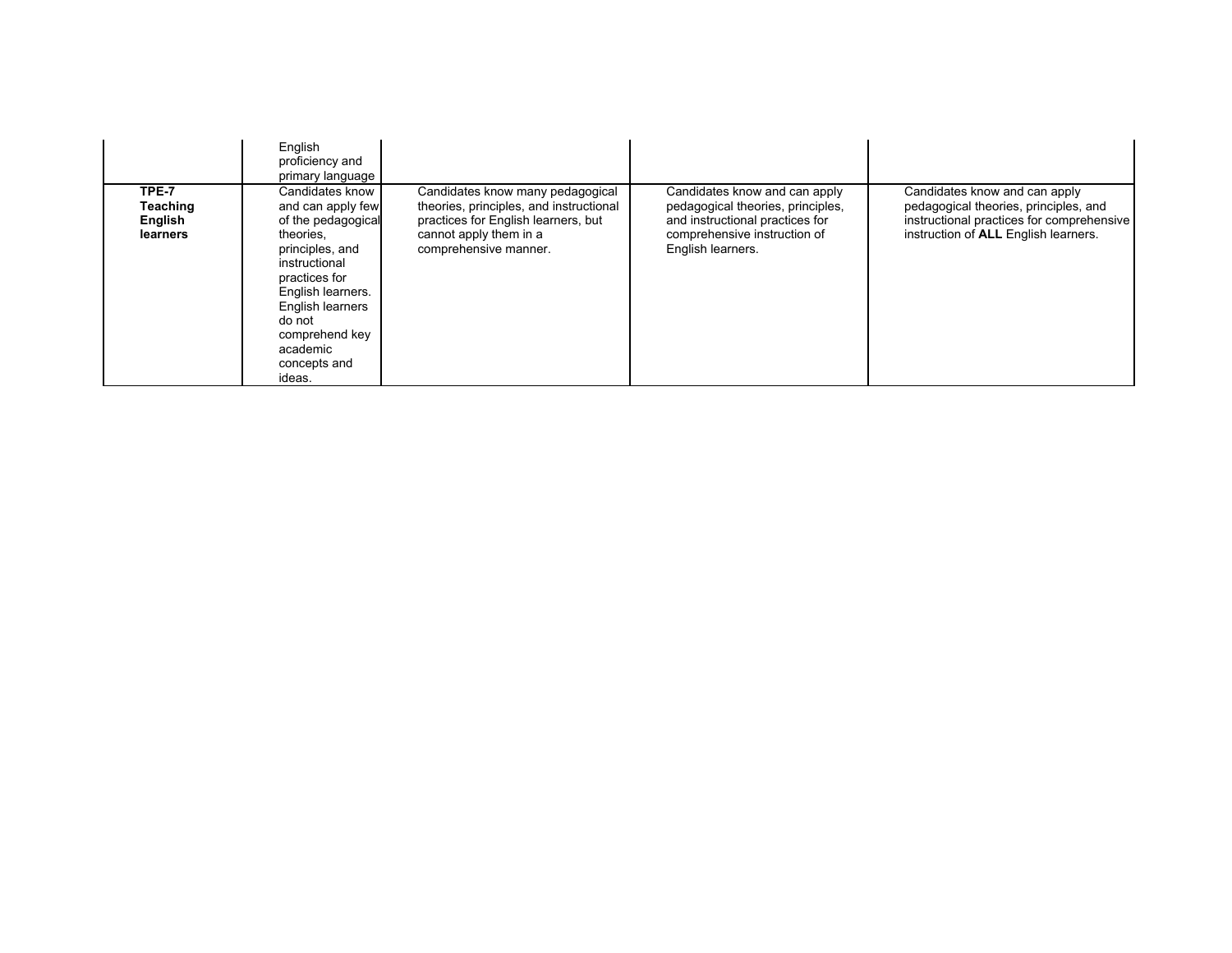|                                          | English<br>proficiency and<br>primary language                                                                                                                                                                                          |                                                                                                                                                                       |                                                                                                                                                            |                                                                                                                                                             |
|------------------------------------------|-----------------------------------------------------------------------------------------------------------------------------------------------------------------------------------------------------------------------------------------|-----------------------------------------------------------------------------------------------------------------------------------------------------------------------|------------------------------------------------------------------------------------------------------------------------------------------------------------|-------------------------------------------------------------------------------------------------------------------------------------------------------------|
| TPE-7<br>Teaching<br>English<br>learners | Candidates know<br>and can apply few<br>of the pedagogical<br>theories.<br>principles, and<br>instructional<br>practices for<br>English learners.<br>English learners<br>do not<br>comprehend key<br>academic<br>concepts and<br>ideas. | Candidates know many pedagogical<br>theories, principles, and instructional<br>practices for English learners, but<br>cannot apply them in a<br>comprehensive manner. | Candidates know and can apply<br>pedagogical theories, principles,<br>and instructional practices for<br>comprehensive instruction of<br>English learners. | Candidates know and can apply<br>pedagogical theories, principles, and<br>instructional practices for comprehensive<br>instruction of ALL English learners. |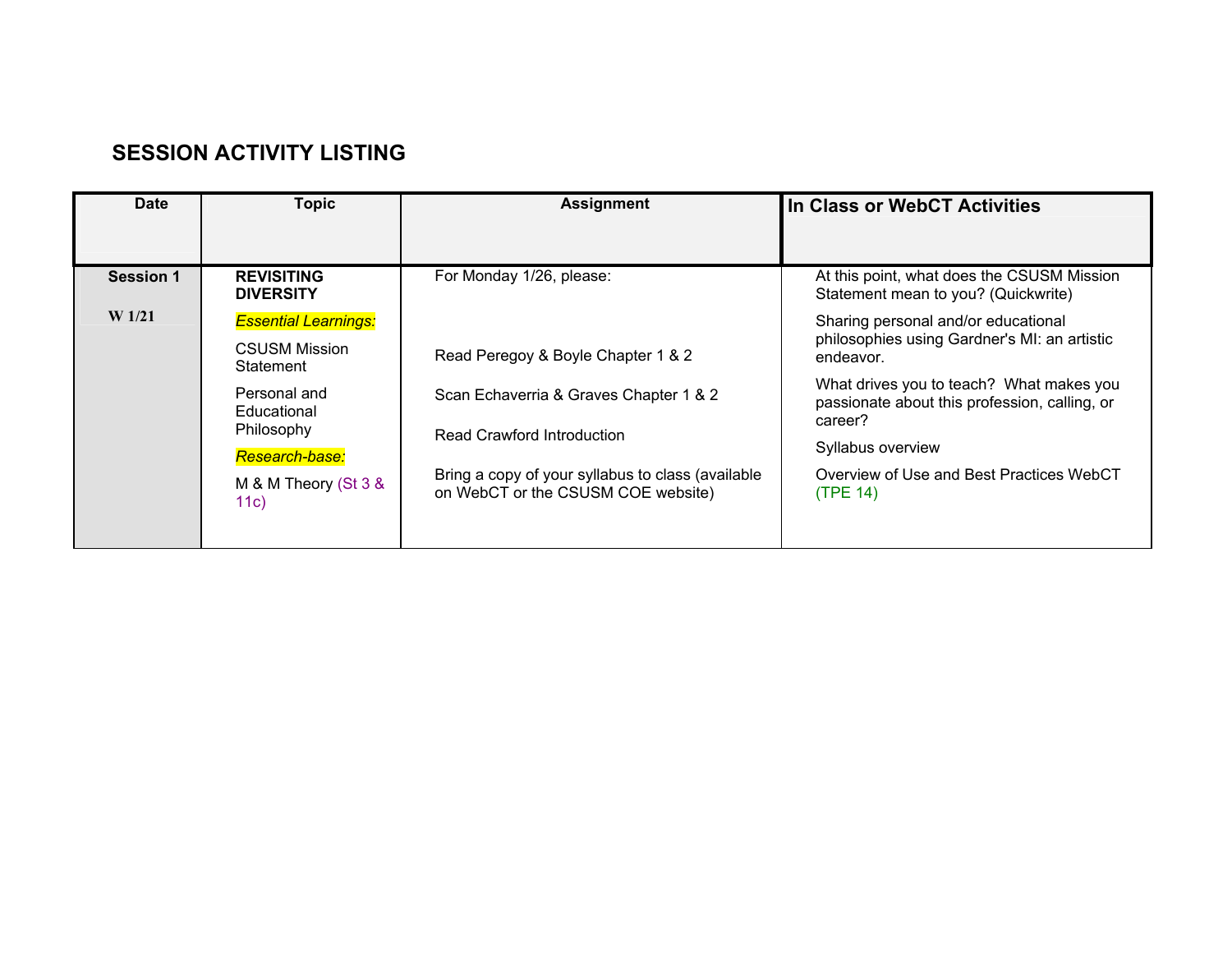# **SESSION ACTIVITY LISTING**

| <b>Date</b><br><b>Topic</b>                                                                                                                                                                                                                       | <b>Assignment</b>                                                                                                                                                                                                                 | In Class or WebCT Activities                                                                                                                                                                                                                                                                                                                                               |
|---------------------------------------------------------------------------------------------------------------------------------------------------------------------------------------------------------------------------------------------------|-----------------------------------------------------------------------------------------------------------------------------------------------------------------------------------------------------------------------------------|----------------------------------------------------------------------------------------------------------------------------------------------------------------------------------------------------------------------------------------------------------------------------------------------------------------------------------------------------------------------------|
| <b>Session 1</b><br><b>REVISITING</b><br><b>DIVERSITY</b><br>W <sub>1/21</sub><br><b>Essential Learnings:</b><br><b>CSUSM Mission</b><br>Statement<br>Personal and<br>Educational<br>Philosophy<br>Research-base:<br>M & M Theory (St 3 &<br>11c) | For Monday 1/26, please:<br>Read Peregoy & Boyle Chapter 1 & 2<br>Scan Echaverria & Graves Chapter 1 & 2<br>Read Crawford Introduction<br>Bring a copy of your syllabus to class (available<br>on WebCT or the CSUSM COE website) | At this point, what does the CSUSM Mission<br>Statement mean to you? (Quickwrite)<br>Sharing personal and/or educational<br>philosophies using Gardner's MI: an artistic<br>endeavor.<br>What drives you to teach? What makes you<br>passionate about this profession, calling, or<br>career?<br>Syllabus overview<br>Overview of Use and Best Practices WebCT<br>(TPE 14) |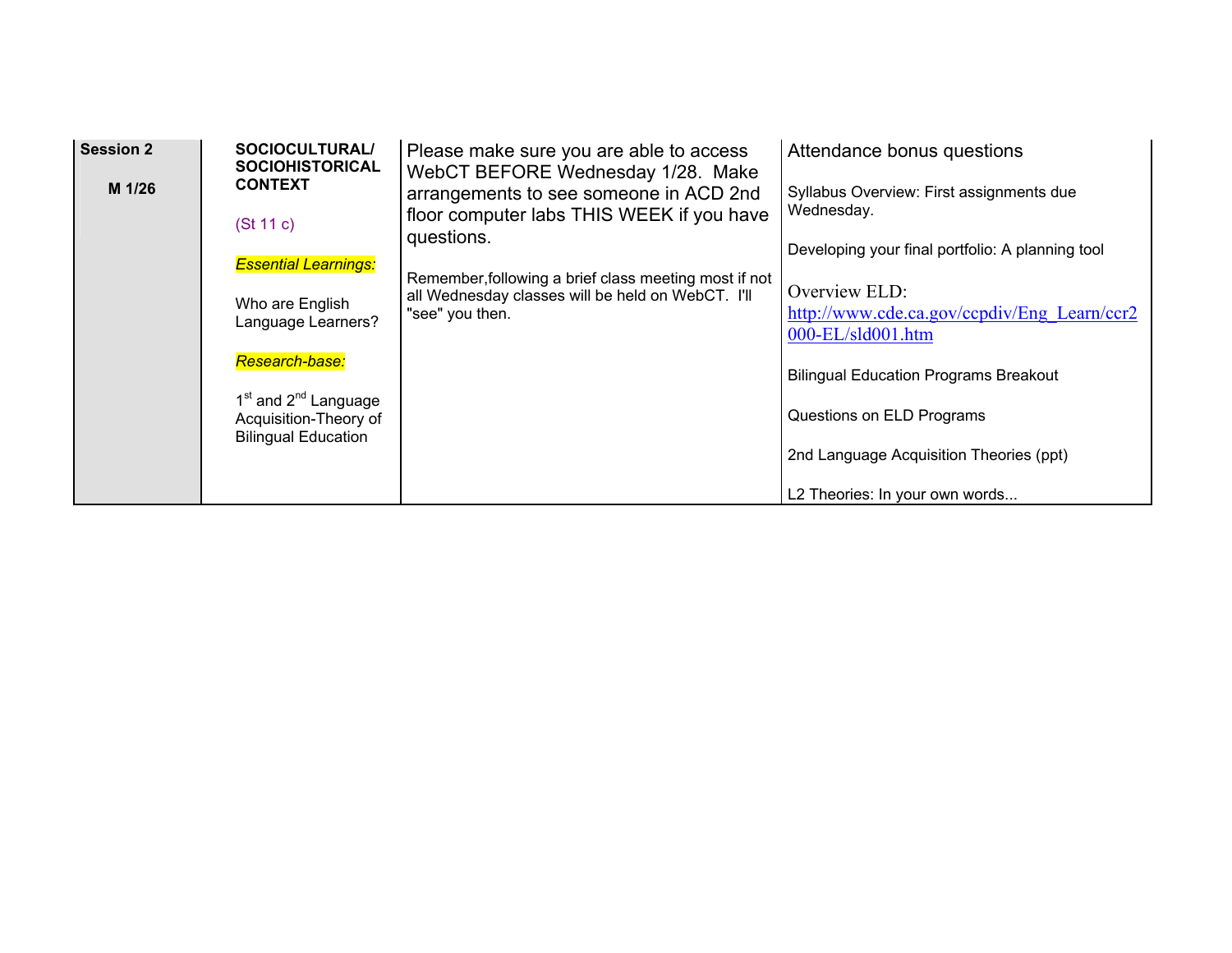| <b>Session 2</b> | <b>SOCIOCULTURAL/</b><br><b>SOCIOHISTORICAL</b>                                                     | Please make sure you are able to access<br>WebCT BEFORE Wednesday 1/28. Make                      | Attendance bonus questions                                                |
|------------------|-----------------------------------------------------------------------------------------------------|---------------------------------------------------------------------------------------------------|---------------------------------------------------------------------------|
| M 1/26           | <b>CONTEXT</b><br>(St 11 c)                                                                         | arrangements to see someone in ACD 2nd<br>floor computer labs THIS WEEK if you have<br>questions. | Syllabus Overview: First assignments due<br>Wednesday.                    |
|                  | <b>Essential Learnings:</b>                                                                         | Remember, following a brief class meeting most if not                                             | Developing your final portfolio: A planning tool<br>Overview ELD:         |
|                  | Who are English<br>Language Learners?                                                               | all Wednesday classes will be held on WebCT. I'll<br>"see" you then.                              | http://www.cde.ca.gov/ccpdiv/Eng Learn/ccr2<br>000-EL/sld001.htm          |
|                  | Research-base:                                                                                      |                                                                                                   | <b>Bilingual Education Programs Breakout</b>                              |
|                  | 1 <sup>st</sup> and 2 <sup>nd</sup> Language<br>Acquisition-Theory of<br><b>Bilingual Education</b> |                                                                                                   | Questions on ELD Programs                                                 |
|                  |                                                                                                     |                                                                                                   | 2nd Language Acquisition Theories (ppt)<br>L2 Theories: In your own words |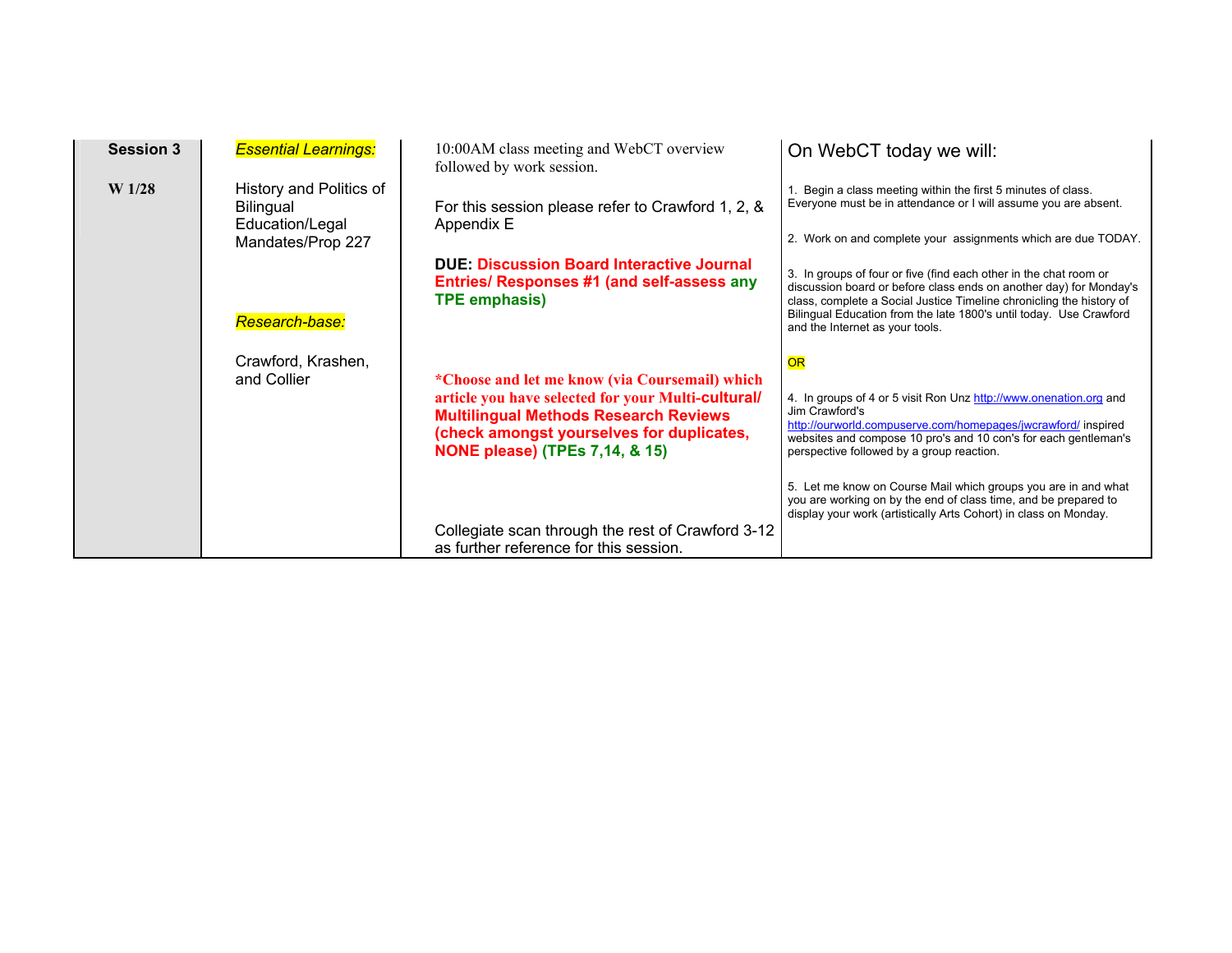| <b>Session 3</b>  | <b>Essential Learnings:</b>                                                         | 10:00 AM class meeting and WebCT overview<br>followed by work session.                                                                                                                                                                         | On WebCT today we will:                                                                                                                                                                                                                                                                                                  |
|-------------------|-------------------------------------------------------------------------------------|------------------------------------------------------------------------------------------------------------------------------------------------------------------------------------------------------------------------------------------------|--------------------------------------------------------------------------------------------------------------------------------------------------------------------------------------------------------------------------------------------------------------------------------------------------------------------------|
| W <sub>1/28</sub> | History and Politics of<br><b>Bilingual</b><br>Education/Legal<br>Mandates/Prop 227 | For this session please refer to Crawford 1, 2, &<br>Appendix E                                                                                                                                                                                | Begin a class meeting within the first 5 minutes of class.<br>Everyone must be in attendance or I will assume you are absent.<br>2. Work on and complete your assignments which are due TODAY.                                                                                                                           |
|                   | Research-base:                                                                      | <b>DUE: Discussion Board Interactive Journal</b><br>Entries/ Responses #1 (and self-assess any<br><b>TPE emphasis)</b>                                                                                                                         | 3. In groups of four or five (find each other in the chat room or<br>discussion board or before class ends on another day) for Monday's<br>class, complete a Social Justice Timeline chronicling the history of<br>Bilingual Education from the late 1800's until today. Use Crawford<br>and the Internet as your tools. |
|                   | Crawford, Krashen,<br>and Collier                                                   | *Choose and let me know (via Coursemail) which<br>article you have selected for your Multi-cultural/<br><b>Multilingual Methods Research Reviews</b><br>(check amongst yourselves for duplicates,<br><b>NONE please) (TPEs 7,14, &amp; 15)</b> | OR<br>4. In groups of 4 or 5 visit Ron Unz http://www.onenation.org and<br>Jim Crawford's<br>http://ourworld.compuserve.com/homepages/jwcrawford/ inspired<br>websites and compose 10 pro's and 10 con's for each gentleman's<br>perspective followed by a group reaction.                                               |
|                   |                                                                                     | Collegiate scan through the rest of Crawford 3-12<br>as further reference for this session.                                                                                                                                                    | 5. Let me know on Course Mail which groups you are in and what<br>you are working on by the end of class time, and be prepared to<br>display your work (artistically Arts Cohort) in class on Monday.                                                                                                                    |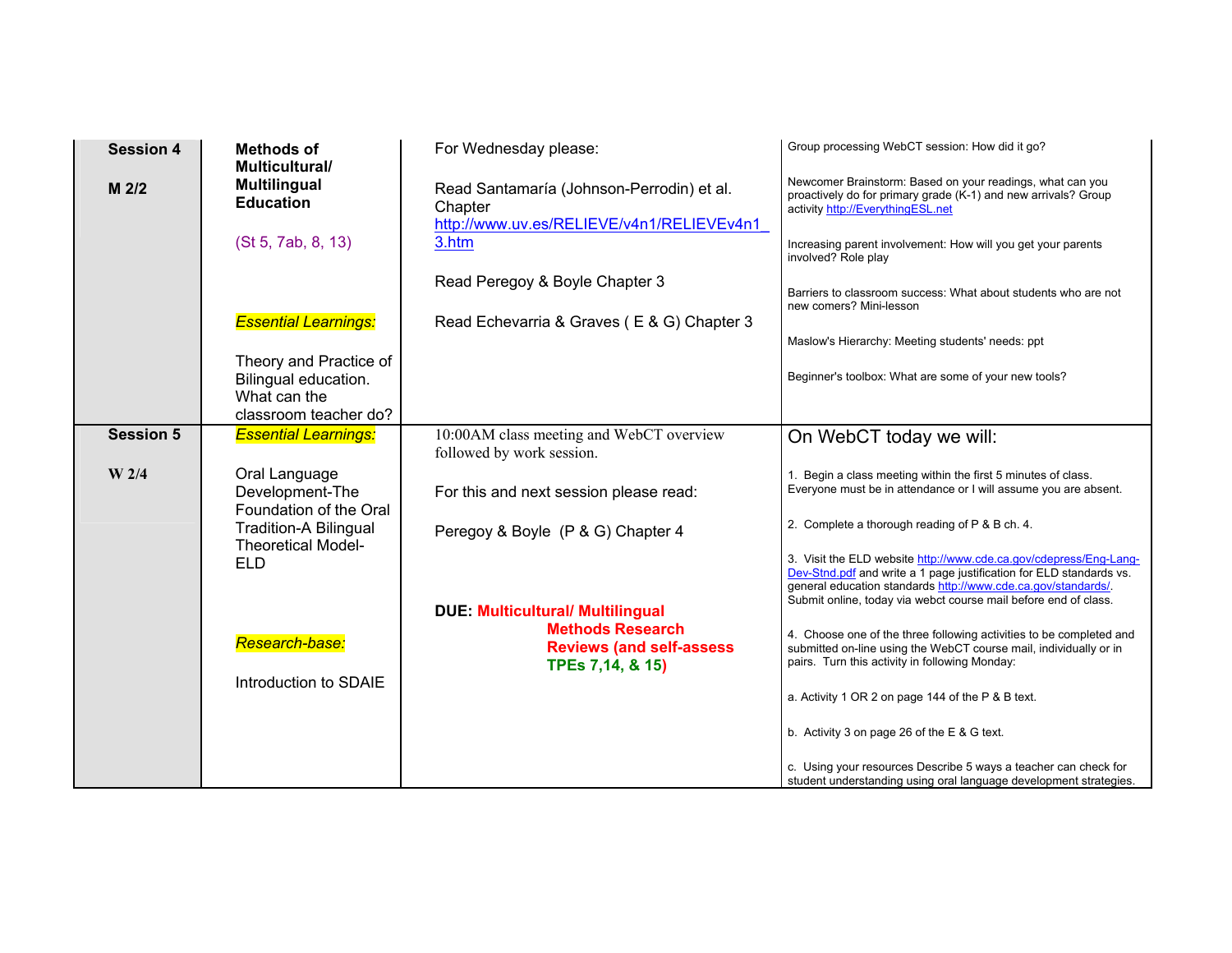| <b>Session 4</b> | <b>Methods of</b><br>Multicultural/                        | For Wednesday please:                                                                             | Group processing WebCT session: How did it go?                                                                                                                                                                                                                              |
|------------------|------------------------------------------------------------|---------------------------------------------------------------------------------------------------|-----------------------------------------------------------------------------------------------------------------------------------------------------------------------------------------------------------------------------------------------------------------------------|
| M 2/2            | <b>Multilingual</b><br><b>Education</b>                    | Read Santamaría (Johnson-Perrodin) et al.<br>Chapter<br>http://www.uv.es/RELIEVE/v4n1/RELIEVEv4n1 | Newcomer Brainstorm: Based on your readings, what can you<br>proactively do for primary grade (K-1) and new arrivals? Group<br>activity http://EverythingESL.net                                                                                                            |
|                  | (St 5, 7ab, 8, 13)                                         | 3.htm                                                                                             | Increasing parent involvement: How will you get your parents<br>involved? Role play                                                                                                                                                                                         |
|                  |                                                            | Read Peregoy & Boyle Chapter 3                                                                    | Barriers to classroom success: What about students who are not<br>new comers? Mini-lesson                                                                                                                                                                                   |
|                  | <b>Essential Learnings:</b>                                | Read Echevarria & Graves (E & G) Chapter 3                                                        |                                                                                                                                                                                                                                                                             |
|                  | Theory and Practice of                                     |                                                                                                   | Maslow's Hierarchy: Meeting students' needs: ppt                                                                                                                                                                                                                            |
|                  | Bilingual education.<br>What can the                       |                                                                                                   | Beginner's toolbox: What are some of your new tools?                                                                                                                                                                                                                        |
|                  | classroom teacher do?                                      |                                                                                                   |                                                                                                                                                                                                                                                                             |
| <b>Session 5</b> | <b>Essential Learnings:</b>                                | 10:00AM class meeting and WebCT overview<br>followed by work session.                             | On WebCT today we will:                                                                                                                                                                                                                                                     |
| W 2/4            | Oral Language<br>Development-The<br>Foundation of the Oral | For this and next session please read:                                                            | 1. Begin a class meeting within the first 5 minutes of class.<br>Everyone must be in attendance or I will assume you are absent.                                                                                                                                            |
|                  | <b>Tradition-A Bilingual</b><br><b>Theoretical Model-</b>  | Peregoy & Boyle (P & G) Chapter 4                                                                 | 2. Complete a thorough reading of P & B ch. 4.                                                                                                                                                                                                                              |
|                  | <b>ELD</b>                                                 |                                                                                                   | 3. Visit the ELD website http://www.cde.ca.gov/cdepress/Eng-Lang-<br>Dev-Stnd.pdf and write a 1 page justification for ELD standards vs.<br>general education standards http://www.cde.ca.gov/standards/<br>Submit online, today via webct course mail before end of class. |
|                  |                                                            | <b>DUE: Multicultural/ Multilingual</b>                                                           |                                                                                                                                                                                                                                                                             |
|                  | Research-base:                                             | <b>Methods Research</b><br><b>Reviews (and self-assess</b><br>TPEs 7,14, & 15)                    | 4. Choose one of the three following activities to be completed and<br>submitted on-line using the WebCT course mail, individually or in<br>pairs. Turn this activity in following Monday:                                                                                  |
|                  | Introduction to SDAIE                                      |                                                                                                   | a. Activity 1 OR 2 on page 144 of the P & B text.                                                                                                                                                                                                                           |
|                  |                                                            |                                                                                                   | b. Activity 3 on page 26 of the E & G text.                                                                                                                                                                                                                                 |
|                  |                                                            |                                                                                                   | c. Using your resources Describe 5 ways a teacher can check for<br>student understanding using oral language development strategies.                                                                                                                                        |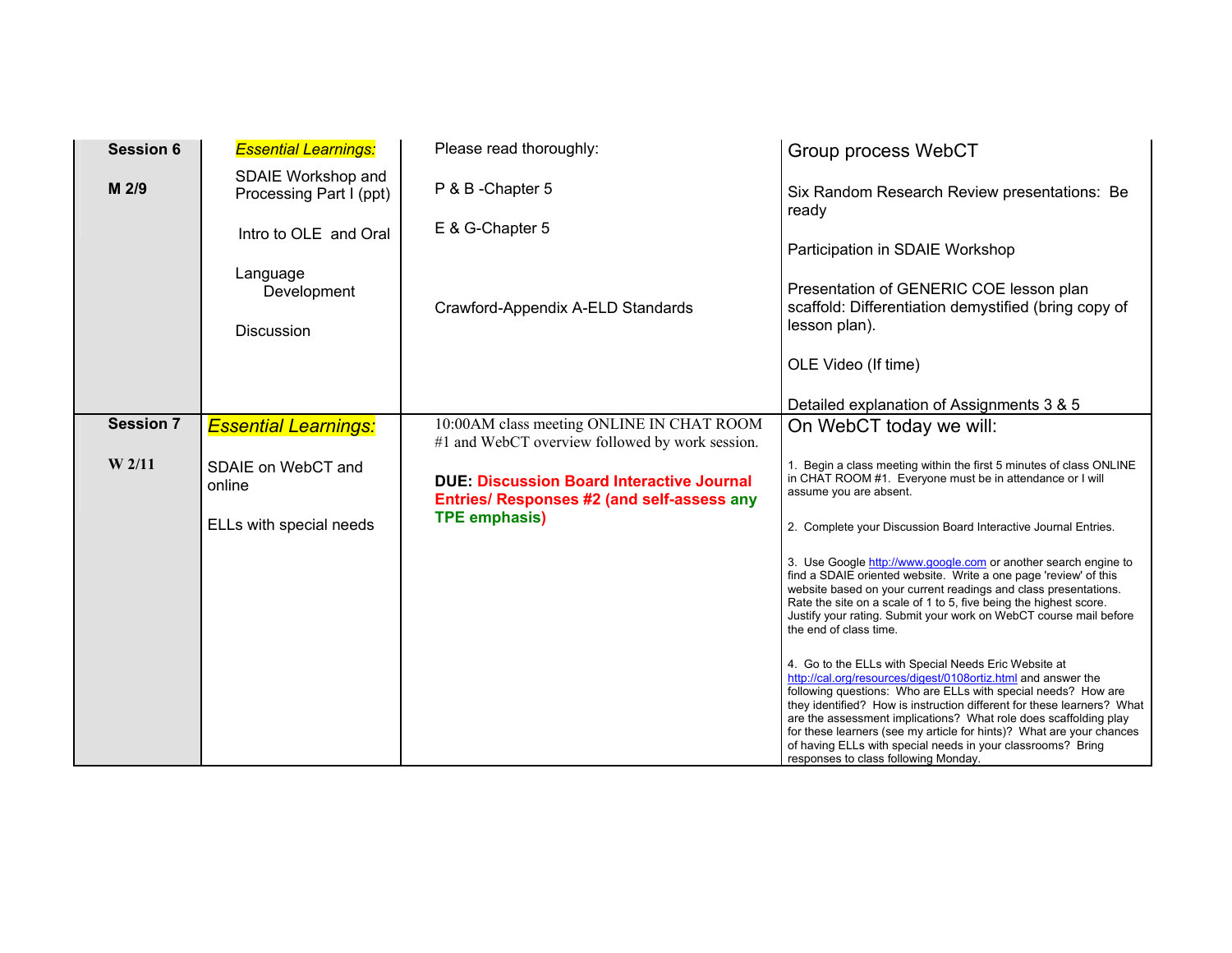| <b>Session 6</b>  | <b>Essential Learnings:</b>                   | Please read thoroughly:                                                                        | Group process WebCT                                                                                                                                                                                                                                                                                                                                                                                                                                                                                                 |
|-------------------|-----------------------------------------------|------------------------------------------------------------------------------------------------|---------------------------------------------------------------------------------------------------------------------------------------------------------------------------------------------------------------------------------------------------------------------------------------------------------------------------------------------------------------------------------------------------------------------------------------------------------------------------------------------------------------------|
| M 2/9             | SDAIE Workshop and<br>Processing Part I (ppt) | P & B - Chapter 5                                                                              | Six Random Research Review presentations: Be<br>ready                                                                                                                                                                                                                                                                                                                                                                                                                                                               |
|                   | Intro to OLE and Oral                         | E & G-Chapter 5                                                                                | Participation in SDAIE Workshop                                                                                                                                                                                                                                                                                                                                                                                                                                                                                     |
|                   | Language<br>Development<br><b>Discussion</b>  | Crawford-Appendix A-ELD Standards                                                              | Presentation of GENERIC COE lesson plan<br>scaffold: Differentiation demystified (bring copy of<br>lesson plan).                                                                                                                                                                                                                                                                                                                                                                                                    |
|                   |                                               |                                                                                                | OLE Video (If time)                                                                                                                                                                                                                                                                                                                                                                                                                                                                                                 |
|                   |                                               |                                                                                                | Detailed explanation of Assignments 3 & 5                                                                                                                                                                                                                                                                                                                                                                                                                                                                           |
| <b>Session 7</b>  | <b>Essential Learnings:</b>                   | 10:00AM class meeting ONLINE IN CHAT ROOM<br>#1 and WebCT overview followed by work session.   | On WebCT today we will:                                                                                                                                                                                                                                                                                                                                                                                                                                                                                             |
| W <sub>2/11</sub> | SDAIE on WebCT and<br>online                  | <b>DUE: Discussion Board Interactive Journal</b><br>Entries/ Responses #2 (and self-assess any | 1. Begin a class meeting within the first 5 minutes of class ONLINE<br>in CHAT ROOM #1. Everyone must be in attendance or I will<br>assume you are absent.                                                                                                                                                                                                                                                                                                                                                          |
|                   | ELLs with special needs                       | <b>TPE emphasis)</b>                                                                           | 2. Complete your Discussion Board Interactive Journal Entries.                                                                                                                                                                                                                                                                                                                                                                                                                                                      |
|                   |                                               |                                                                                                | 3. Use Google http://www.google.com or another search engine to<br>find a SDAIE oriented website. Write a one page 'review' of this<br>website based on your current readings and class presentations.<br>Rate the site on a scale of 1 to 5, five being the highest score.<br>Justify your rating. Submit your work on WebCT course mail before<br>the end of class time.                                                                                                                                          |
|                   |                                               |                                                                                                | 4. Go to the ELLs with Special Needs Eric Website at<br>http://cal.org/resources/digest/0108ortiz.html and answer the<br>following questions: Who are ELLs with special needs? How are<br>they identified? How is instruction different for these learners? What<br>are the assessment implications? What role does scaffolding play<br>for these learners (see my article for hints)? What are your chances<br>of having ELLs with special needs in your classrooms? Bring<br>responses to class following Monday. |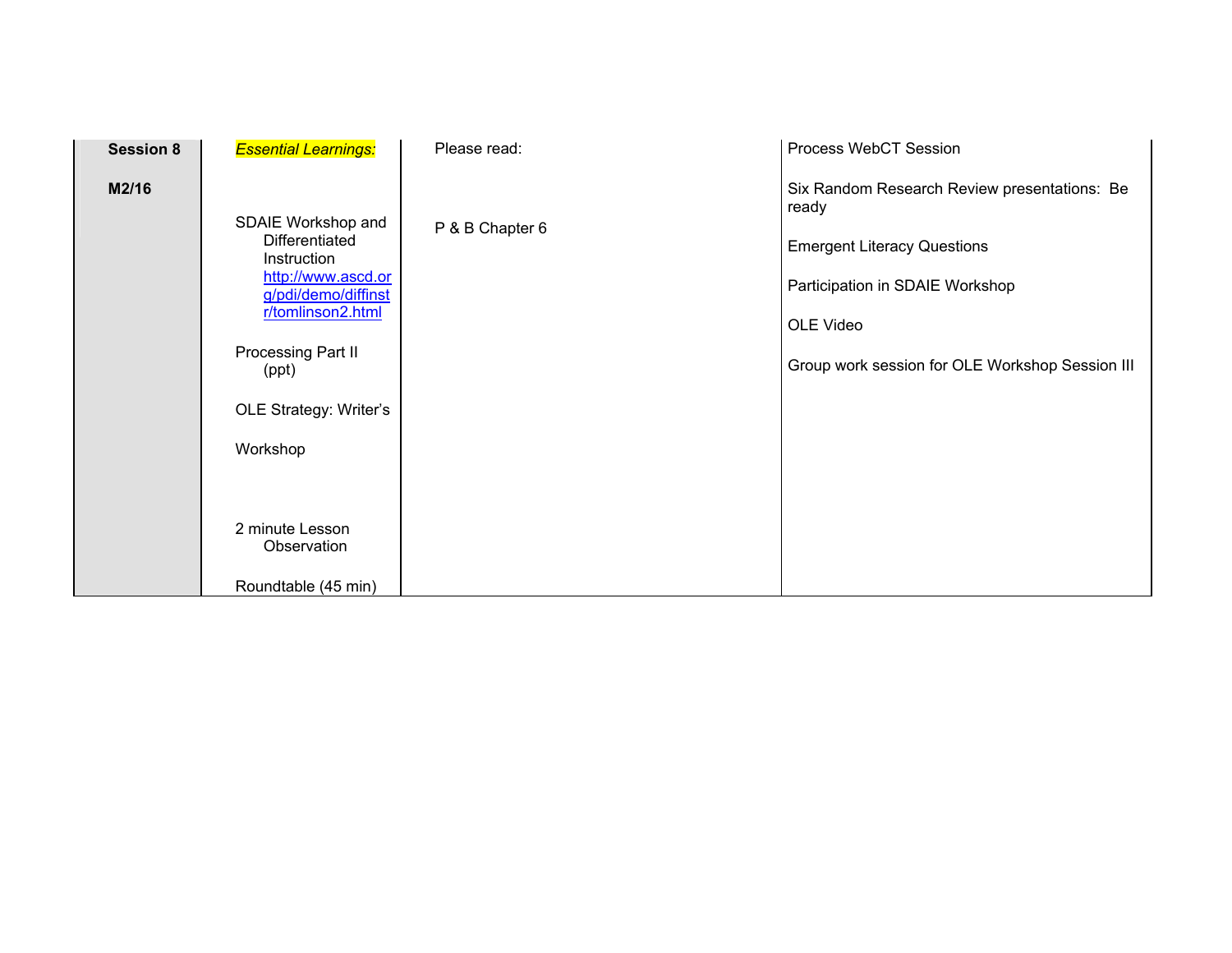| <b>Session 8</b> | <b>Essential Learnings:</b>                                                                                                                                                                                   | Please read:    | Process WebCT Session                                                                                                                                                                          |
|------------------|---------------------------------------------------------------------------------------------------------------------------------------------------------------------------------------------------------------|-----------------|------------------------------------------------------------------------------------------------------------------------------------------------------------------------------------------------|
| M2/16            | SDAIE Workshop and<br>Differentiated<br>Instruction<br>http://www.ascd.or<br>g/pdi/demo/diffinst<br>r/tomlinson2.html<br>Processing Part II<br>(ppt)<br>OLE Strategy: Writer's<br>Workshop<br>2 minute Lesson | P & B Chapter 6 | Six Random Research Review presentations: Be<br>ready<br><b>Emergent Literacy Questions</b><br>Participation in SDAIE Workshop<br>OLE Video<br>Group work session for OLE Workshop Session III |
|                  | Observation                                                                                                                                                                                                   |                 |                                                                                                                                                                                                |
|                  | Roundtable (45 min)                                                                                                                                                                                           |                 |                                                                                                                                                                                                |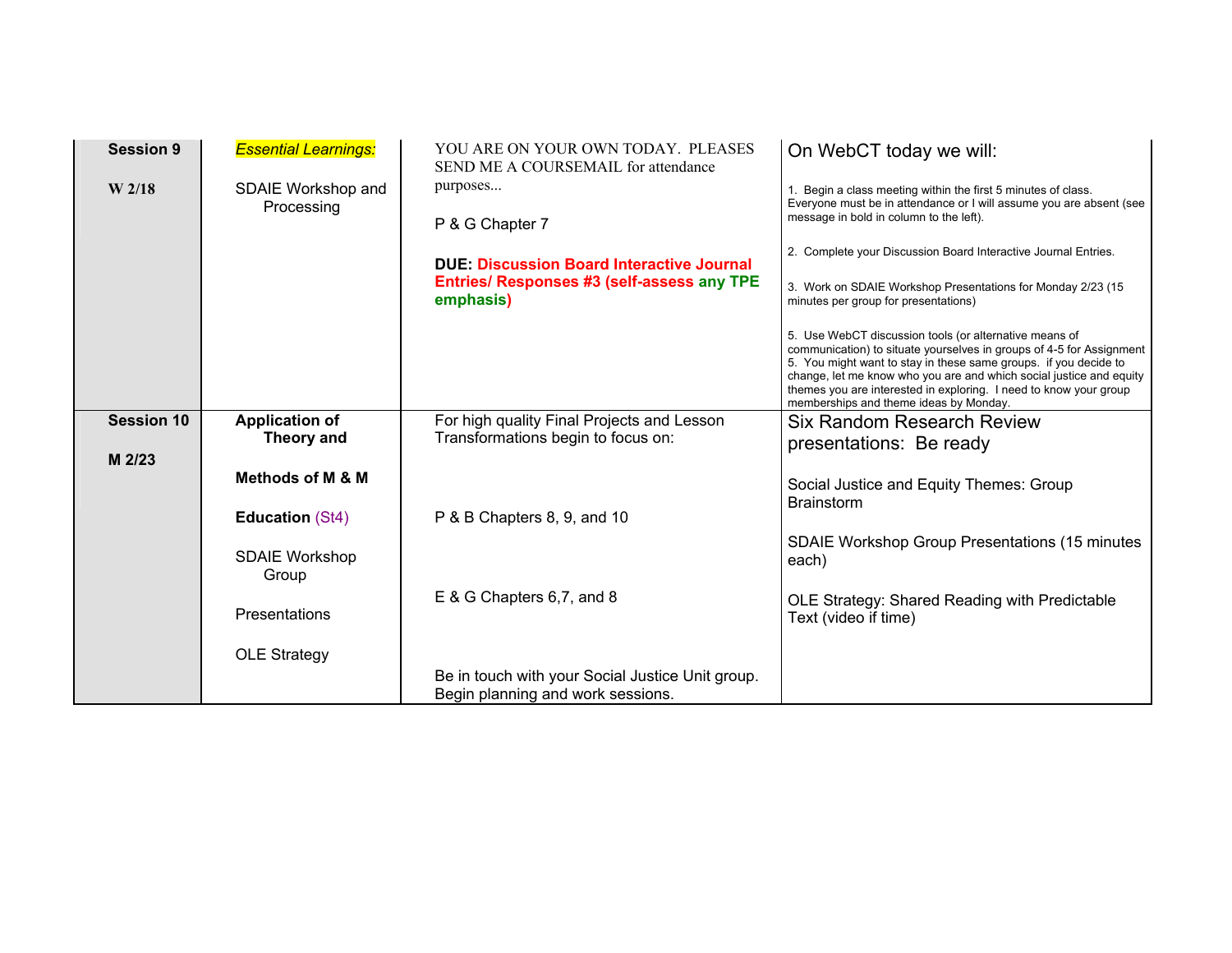| <b>Session 9</b><br>W <sub>2/18</sub> | <b>Essential Learnings:</b><br>SDAIE Workshop and<br>Processing | YOU ARE ON YOUR OWN TODAY. PLEASES<br>SEND ME A COURSEMAIL for attendance<br>purposes<br>P & G Chapter 7<br><b>DUE: Discussion Board Interactive Journal</b><br>Entries/ Responses #3 (self-assess any TPE<br>emphasis) | On WebCT today we will:<br>1. Begin a class meeting within the first 5 minutes of class.<br>Everyone must be in attendance or I will assume you are absent (see<br>message in bold in column to the left).<br>2. Complete your Discussion Board Interactive Journal Entries.<br>3. Work on SDAIE Workshop Presentations for Monday 2/23 (15<br>minutes per group for presentations)<br>5. Use WebCT discussion tools (or alternative means of<br>communication) to situate yourselves in groups of 4-5 for Assignment<br>5. You might want to stay in these same groups. if you decide to<br>change, let me know who you are and which social justice and equity<br>themes you are interested in exploring. I need to know your group |
|---------------------------------------|-----------------------------------------------------------------|-------------------------------------------------------------------------------------------------------------------------------------------------------------------------------------------------------------------------|---------------------------------------------------------------------------------------------------------------------------------------------------------------------------------------------------------------------------------------------------------------------------------------------------------------------------------------------------------------------------------------------------------------------------------------------------------------------------------------------------------------------------------------------------------------------------------------------------------------------------------------------------------------------------------------------------------------------------------------|
| <b>Session 10</b>                     | <b>Application of</b>                                           | For high quality Final Projects and Lesson                                                                                                                                                                              | memberships and theme ideas by Monday.<br>Six Random Research Review                                                                                                                                                                                                                                                                                                                                                                                                                                                                                                                                                                                                                                                                  |
|                                       | Theory and                                                      | Transformations begin to focus on:                                                                                                                                                                                      | presentations: Be ready                                                                                                                                                                                                                                                                                                                                                                                                                                                                                                                                                                                                                                                                                                               |
| M 2/23                                | Methods of M & M                                                |                                                                                                                                                                                                                         | Social Justice and Equity Themes: Group                                                                                                                                                                                                                                                                                                                                                                                                                                                                                                                                                                                                                                                                                               |
|                                       | <b>Education (St4)</b>                                          | P & B Chapters 8, 9, and 10                                                                                                                                                                                             | <b>Brainstorm</b>                                                                                                                                                                                                                                                                                                                                                                                                                                                                                                                                                                                                                                                                                                                     |
|                                       | <b>SDAIE Workshop</b><br>Group                                  |                                                                                                                                                                                                                         | <b>SDAIE Workshop Group Presentations (15 minutes)</b><br>each)                                                                                                                                                                                                                                                                                                                                                                                                                                                                                                                                                                                                                                                                       |
|                                       | Presentations                                                   | E & G Chapters 6,7, and 8                                                                                                                                                                                               | OLE Strategy: Shared Reading with Predictable<br>Text (video if time)                                                                                                                                                                                                                                                                                                                                                                                                                                                                                                                                                                                                                                                                 |
|                                       | <b>OLE Strategy</b>                                             | Be in touch with your Social Justice Unit group.<br>Begin planning and work sessions.                                                                                                                                   |                                                                                                                                                                                                                                                                                                                                                                                                                                                                                                                                                                                                                                                                                                                                       |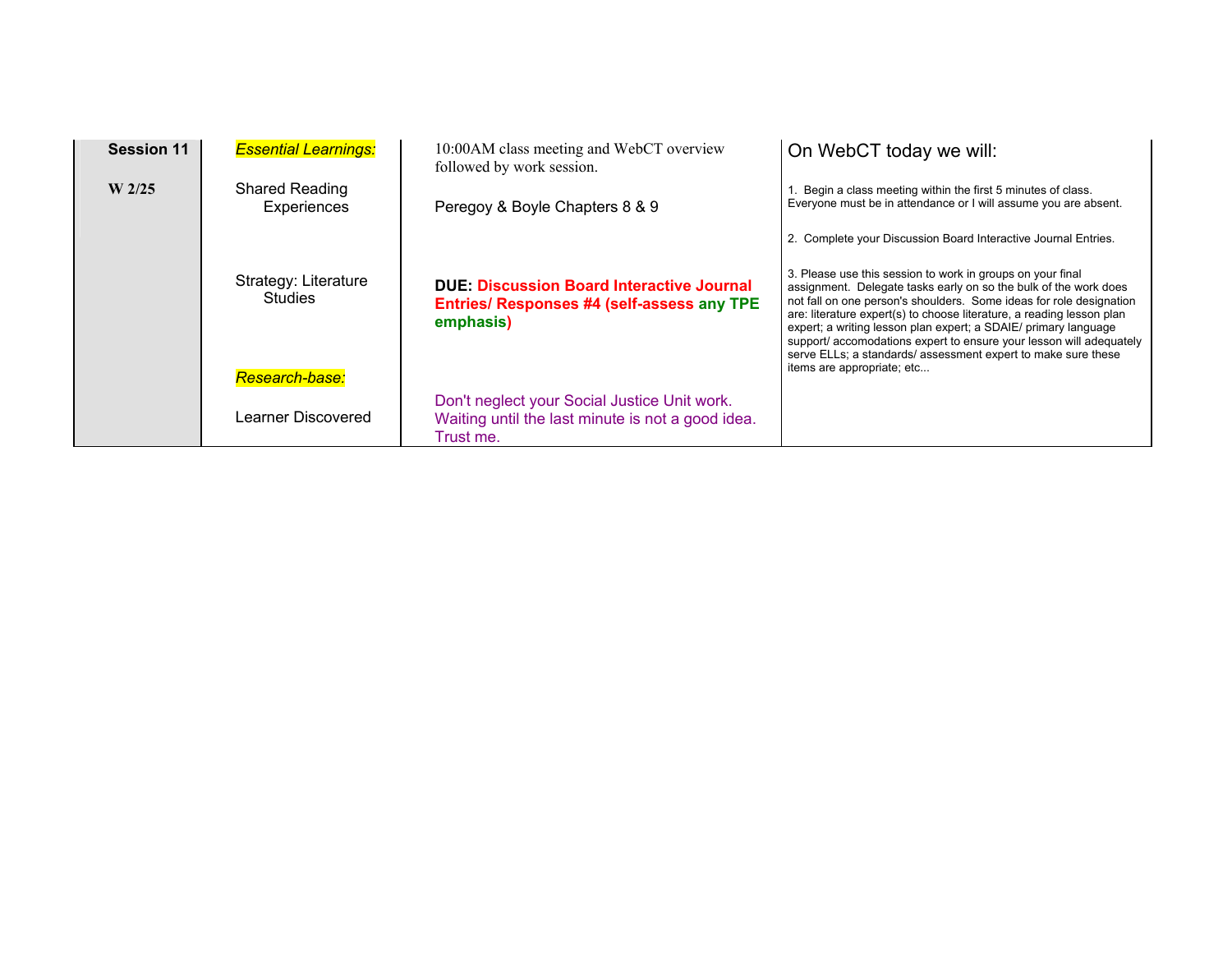| <b>Session 11</b> | <b>Essential Learnings:</b>                              | 10:00 AM class meeting and WebCT overview<br>followed by work session.                                         | On WebCT today we will:                                                                                                                                                                                                                                                                                                                                                                                                                                                                                                 |
|-------------------|----------------------------------------------------------|----------------------------------------------------------------------------------------------------------------|-------------------------------------------------------------------------------------------------------------------------------------------------------------------------------------------------------------------------------------------------------------------------------------------------------------------------------------------------------------------------------------------------------------------------------------------------------------------------------------------------------------------------|
| $W$ 2/25          | <b>Shared Reading</b><br>Experiences                     | Peregoy & Boyle Chapters 8 & 9                                                                                 | 1. Begin a class meeting within the first 5 minutes of class.<br>Everyone must be in attendance or I will assume you are absent.                                                                                                                                                                                                                                                                                                                                                                                        |
|                   |                                                          |                                                                                                                | 2. Complete your Discussion Board Interactive Journal Entries.                                                                                                                                                                                                                                                                                                                                                                                                                                                          |
|                   | Strategy: Literature<br><b>Studies</b><br>Research-base: | <b>DUE: Discussion Board Interactive Journal</b><br>Entries/ Responses #4 (self-assess any TPE<br>emphasis)    | 3. Please use this session to work in groups on your final<br>assignment. Delegate tasks early on so the bulk of the work does<br>not fall on one person's shoulders. Some ideas for role designation<br>are: literature expert(s) to choose literature, a reading lesson plan<br>expert; a writing lesson plan expert; a SDAIE/ primary language<br>support/ accomodations expert to ensure your lesson will adequately<br>serve ELLs; a standards/ assessment expert to make sure these<br>items are appropriate; etc |
|                   | Learner Discovered                                       | Don't neglect your Social Justice Unit work.<br>Waiting until the last minute is not a good idea.<br>Trust me. |                                                                                                                                                                                                                                                                                                                                                                                                                                                                                                                         |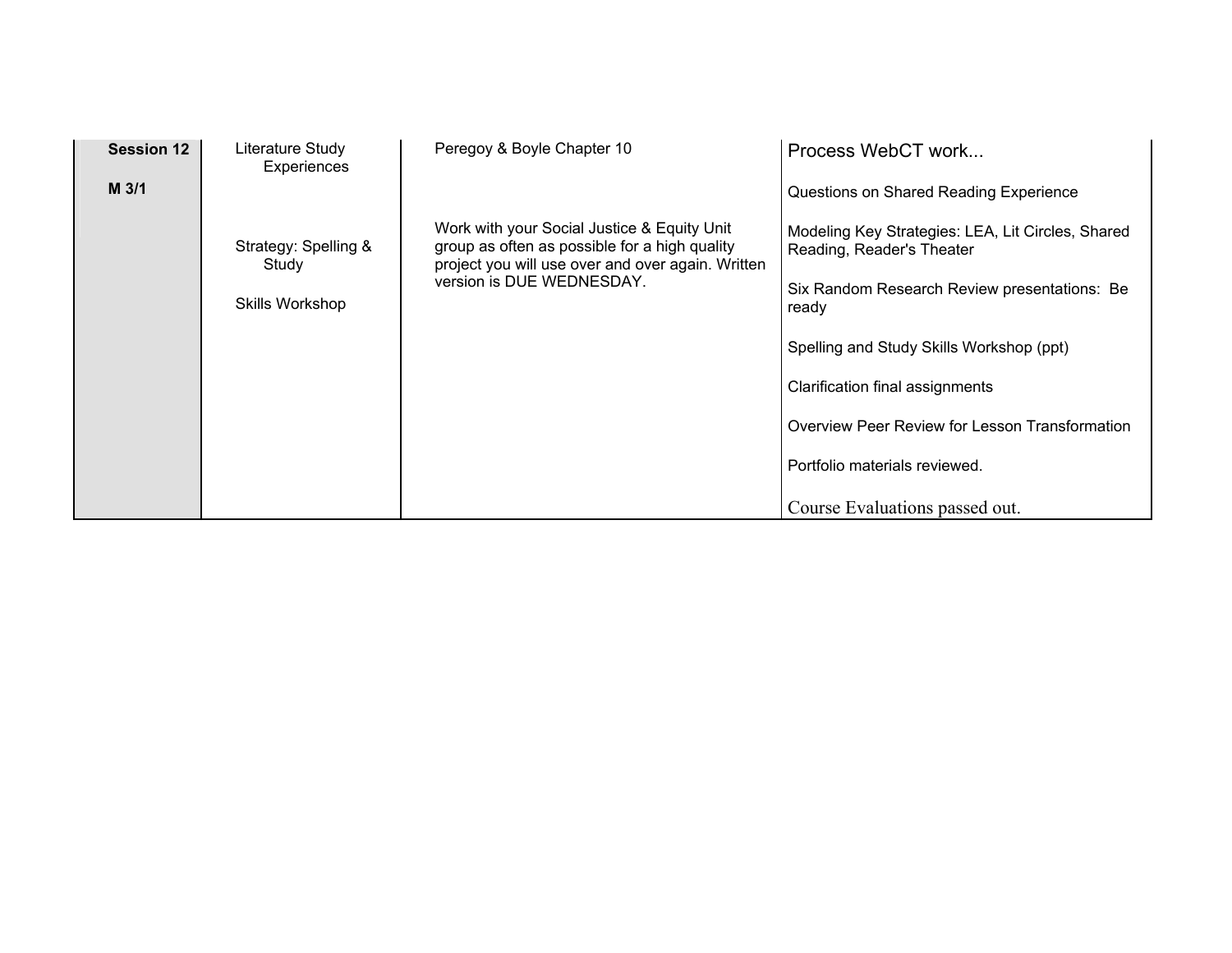| <b>Session 12</b> | Literature Study<br>Experiences | Peregoy & Boyle Chapter 10                                                                                                                                                     | Process WebCT work                                                             |  |
|-------------------|---------------------------------|--------------------------------------------------------------------------------------------------------------------------------------------------------------------------------|--------------------------------------------------------------------------------|--|
| $M$ 3/1           |                                 |                                                                                                                                                                                | Questions on Shared Reading Experience                                         |  |
|                   | Strategy: Spelling &<br>Study   | Work with your Social Justice & Equity Unit<br>group as often as possible for a high quality<br>project you will use over and over again. Written<br>version is DUE WEDNESDAY. | Modeling Key Strategies: LEA, Lit Circles, Shared<br>Reading, Reader's Theater |  |
|                   | Skills Workshop                 |                                                                                                                                                                                | Six Random Research Review presentations: Be<br>ready                          |  |
|                   |                                 |                                                                                                                                                                                | Spelling and Study Skills Workshop (ppt)                                       |  |
|                   |                                 |                                                                                                                                                                                | Clarification final assignments                                                |  |
|                   |                                 |                                                                                                                                                                                | Overview Peer Review for Lesson Transformation                                 |  |
|                   |                                 |                                                                                                                                                                                | Portfolio materials reviewed.                                                  |  |
|                   |                                 |                                                                                                                                                                                | Course Evaluations passed out.                                                 |  |